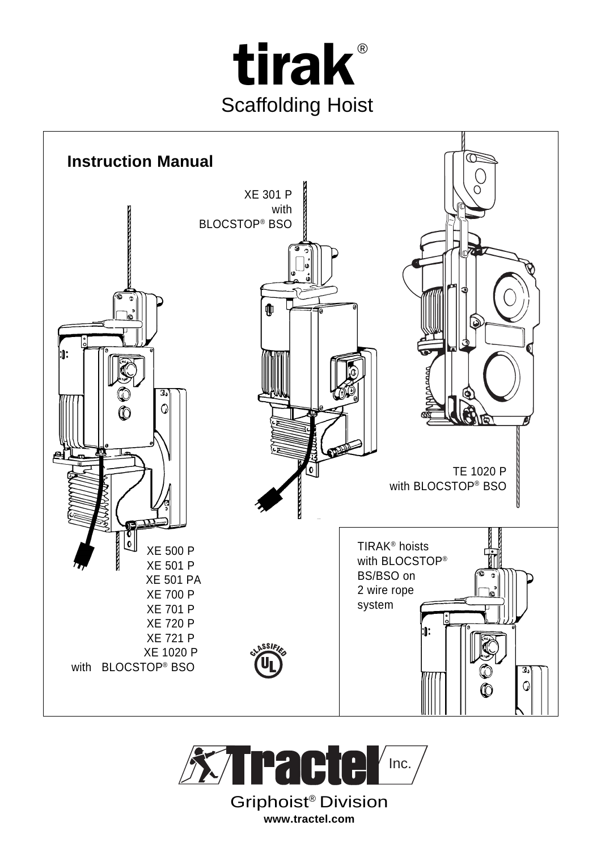



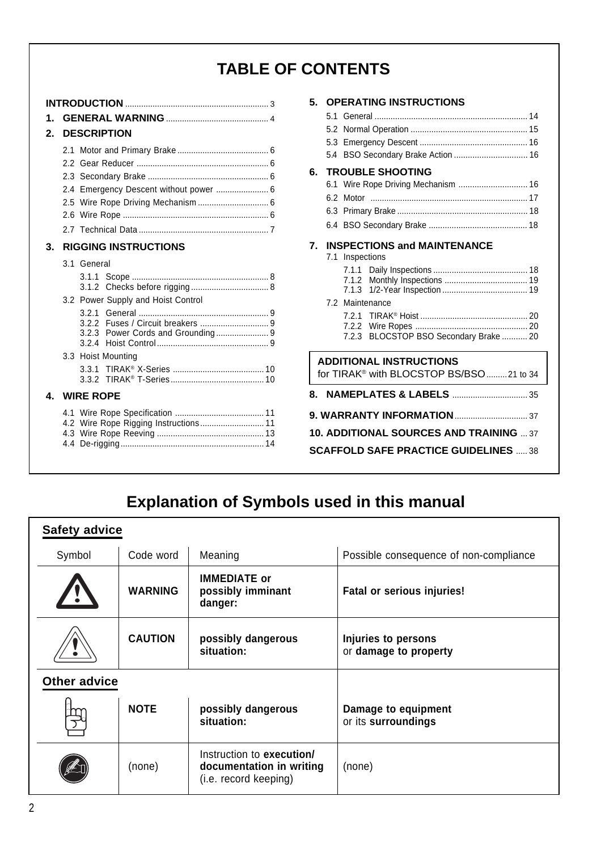# **TABLE OF CONTENTS**

| 1. |               |                                        |  |  |  |  |  |  |  |
|----|---------------|----------------------------------------|--|--|--|--|--|--|--|
| 2. |               | <b>DESCRIPTION</b>                     |  |  |  |  |  |  |  |
|    | 2.1           |                                        |  |  |  |  |  |  |  |
|    | $2.2^{\circ}$ |                                        |  |  |  |  |  |  |  |
|    |               |                                        |  |  |  |  |  |  |  |
|    |               | 2.4 Emergency Descent without power  6 |  |  |  |  |  |  |  |
|    |               |                                        |  |  |  |  |  |  |  |
|    | 2.6           |                                        |  |  |  |  |  |  |  |
|    |               |                                        |  |  |  |  |  |  |  |
| 3. |               | <b>RIGGING INSTRUCTIONS</b>            |  |  |  |  |  |  |  |
|    |               | 3.1 General                            |  |  |  |  |  |  |  |
|    |               |                                        |  |  |  |  |  |  |  |
|    |               | 3.2 Power Supply and Hoist Control     |  |  |  |  |  |  |  |
|    |               |                                        |  |  |  |  |  |  |  |
|    |               | 3.2.4                                  |  |  |  |  |  |  |  |
|    |               | 3.3 Hoist Mounting                     |  |  |  |  |  |  |  |
|    |               |                                        |  |  |  |  |  |  |  |
| 4  |               | <b>WIRE ROPE</b>                       |  |  |  |  |  |  |  |
|    |               |                                        |  |  |  |  |  |  |  |

| 5. |     |                 | <b>OPERATING INSTRUCTIONS</b>                         |
|----|-----|-----------------|-------------------------------------------------------|
|    | 51  |                 |                                                       |
|    |     |                 |                                                       |
|    |     |                 |                                                       |
|    | 5.4 |                 | BSO Secondary Brake Action  16                        |
| 6. |     |                 | <b>TROUBLE SHOOTING</b>                               |
|    | 6.1 |                 |                                                       |
|    | 6.2 |                 |                                                       |
|    |     |                 |                                                       |
|    |     |                 |                                                       |
|    |     |                 |                                                       |
| 7. |     | 7.1 Inspections | <b>INSPECTIONS and MAINTENANCE</b>                    |
|    |     |                 |                                                       |
|    |     | 7.1.2           |                                                       |
|    |     | 7.1.3           |                                                       |
|    |     |                 | 7.2 Maintenance                                       |
|    |     |                 |                                                       |
|    |     |                 |                                                       |
|    |     | 7.2.3           | BLOCSTOP BSO Secondary Brake  20                      |
|    |     |                 | <b>ADDITIONAL INSTRUCTIONS</b>                        |
|    |     |                 | for TIRAK <sup>®</sup> with BLOCSTOP BS/BSO  21 to 34 |
|    |     |                 |                                                       |
|    |     |                 |                                                       |
|    |     |                 |                                                       |
|    |     |                 | <b>10. ADDITIONAL SOURCES AND TRAINING  37</b>        |
|    |     |                 | <b>SCAFFOLD SAFE PRACTICE GUIDELINES  38</b>          |

# **Explanation of Symbols used in this manual**

| <b>Safety advice</b> |                |                                                                                |                                              |  |  |  |  |  |
|----------------------|----------------|--------------------------------------------------------------------------------|----------------------------------------------|--|--|--|--|--|
| Symbol               | Code word      | Meaning                                                                        | Possible consequence of non-compliance       |  |  |  |  |  |
|                      | <b>WARNING</b> | <b>IMMEDIATE or</b><br>possibly imminant<br>danger:                            | <b>Fatal or serious injuries!</b>            |  |  |  |  |  |
|                      | <b>CAUTION</b> | possibly dangerous<br>situation:                                               | Injuries to persons<br>or damage to property |  |  |  |  |  |
| <b>Other advice</b>  |                |                                                                                |                                              |  |  |  |  |  |
|                      | <b>NOTE</b>    | possibly dangerous<br>situation:                                               | Damage to equipment<br>or its surroundings   |  |  |  |  |  |
|                      | (none)         | Instruction to execution/<br>documentation in writing<br>(i.e. record keeping) | (none)                                       |  |  |  |  |  |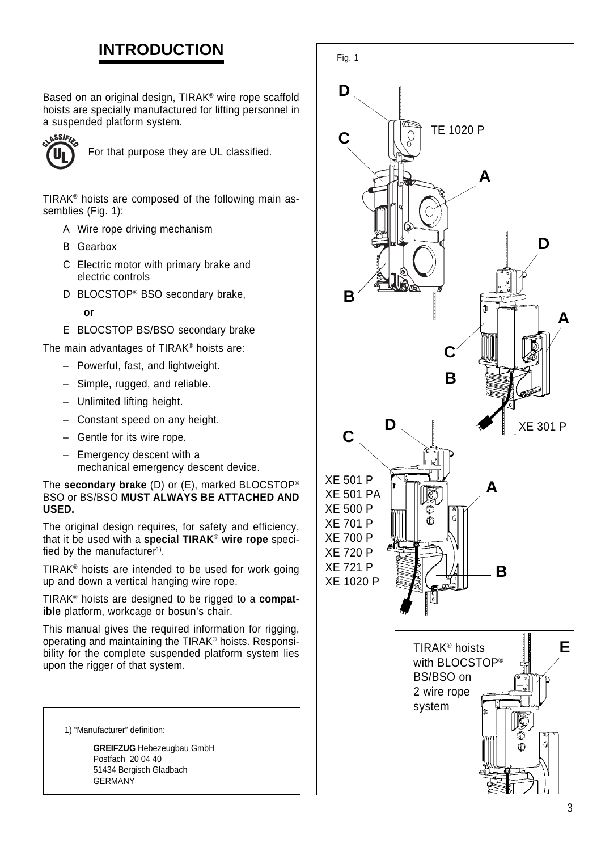# **INTRODUCTION**

Based on an original design, TIRAK® wire rope scaffold hoists are specially manufactured for lifting personnel in a suspended platform system.



For that purpose they are UL classified.

TIRAK® hoists are composed of the following main assemblies (Fig. 1):

- A Wire rope driving mechanism
- B Gearbox
- C Electric motor with primary brake and electric controls
- D BLOCSTOP® BSO secondary brake,
	- **or**
- E BLOCSTOP BS/BSO secondary brake

The main advantages of TIRAK® hoists are:

- PowerfuI, fast, and lightweight.
- Simple, rugged, and reliable.
- Unlimited lifting height.
- Constant speed on any height.
- Gentle for its wire rope.
- Emergency descent with a mechanical emergency descent device.

The **secondary brake** (D) or (E), marked BLOCSTOP® BSO or BS/BSO **MUST ALWAYS BE ATTACHED AND USED.**

The original design requires, for safety and efficiency, that it be used with a **special TIRAK**® **wire rope** specified by the manufacturer<sup>1)</sup>.

TIRAK® hoists are intended to be used for work going up and down a vertical hanging wire rope.

TIRAK® hoists are designed to be rigged to a **compatible** platform, workcage or bosun's chair.

This manual gives the required information for rigging, operating and maintaining the TIRAK® hoists. Responsibility for the complete suspended platform system lies upon the rigger of that system.

1) "Manufacturer" definition:

**GREIFZUG** Hebezeugbau GmbH Postfach 20 04 40 51434 Bergisch Gladbach **GERMANY** 

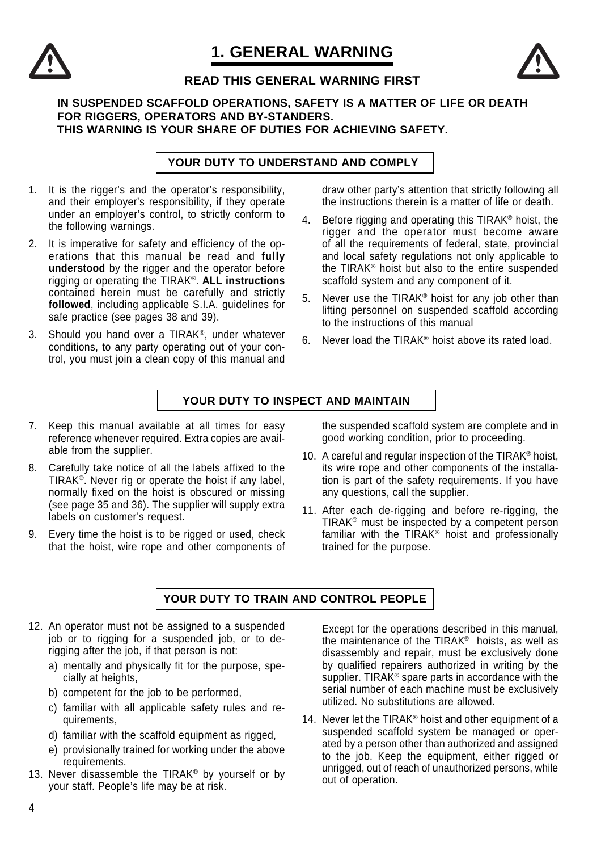# **1. GENERAL WARNING**





## **READ THIS GENERAL WARNING FIRST**

#### **IN SUSPENDED SCAFFOLD OPERATIONS, SAFETY IS A MATTER OF LIFE OR DEATH FOR RIGGERS, OPERATORS AND BY-STANDERS. THIS WARNING IS YOUR SHARE OF DUTIES FOR ACHIEVING SAFETY.**

**YOUR DUTY TO UNDERSTAND AND COMPLY**

- 1. It is the rigger's and the operator's responsibility, and their employer's responsibility, if they operate under an employer's control, to strictly conform to the following warnings.
- 2. It is imperative for safety and efficiency of the operations that this manual be read and **fully understood** by the rigger and the operator before rigging or operating the TIRAK®. **ALL instructions** contained herein must be carefully and strictly **followed**, including applicable S.I.A. guidelines for safe practice (see pages 38 and 39).
- 3. Should you hand over a TIRAK®, under whatever conditions, to any party operating out of your control, you must join a clean copy of this manual and

draw other party's attention that strictly following all the instructions therein is a matter of life or death.

- 4. Before rigging and operating this TIRAK® hoist, the rigger and the operator must become aware of all the requirements of federal, state, provincial and local safety regulations not only applicable to the TIRAK® hoist but also to the entire suspended scaffold system and any component of it.
- 5. Never use the TIRAK® hoist for any job other than lifting personnel on suspended scaffold according to the instructions of this manual
- 6. Never load the TIRAK® hoist above its rated load.

#### **YOUR DUTY TO INSPECT AND MAINTAIN**

- 7. Keep this manual available at all times for easy reference whenever required. Extra copies are available from the supplier.
- 8. Carefully take notice of all the labels affixed to the TIRAK®. Never rig or operate the hoist if any label, normally fixed on the hoist is obscured or missing (see page 35 and 36). The supplier will supply extra labels on customer's request.
- 9. Every time the hoist is to be rigged or used, check that the hoist, wire rope and other components of

the suspended scaffold system are complete and in good working condition, prior to proceeding.

- 10. A careful and regular inspection of the TIRAK® hoist, its wire rope and other components of the installation is part of the safety requirements. If you have any questions, call the supplier.
- 11. After each de-rigging and before re-rigging, the TIRAK® must be inspected by a competent person familiar with the TIRAK® hoist and professionally trained for the purpose.

### **YOUR DUTY TO TRAIN AND CONTROL PEOPLE**

- 12. An operator must not be assigned to a suspended job or to rigging for a suspended job, or to derigging after the job, if that person is not:
	- a) mentally and physically fit for the purpose, specially at heights,
	- b) competent for the job to be performed,
	- c) familiar with all applicable safety rules and requirements,
	- d) familiar with the scaffold equipment as rigged,
	- e) provisionally trained for working under the above requirements.
- 13. Never disassemble the TIRAK® by yourself or by your staff. People's life may be at risk.

Except for the operations described in this manual, the maintenance of the TIRAK® hoists, as well as disassembly and repair, must be exclusively done by qualified repairers authorized in writing by the supplier. TIRAK<sup>®</sup> spare parts in accordance with the serial number of each machine must be exclusively utilized. No substitutions are allowed.

14. Never let the TIRAK<sup>®</sup> hoist and other equipment of a suspended scaffold system be managed or operated by a person other than authorized and assigned to the job. Keep the equipment, either rigged or unrigged, out of reach of unauthorized persons, while out of operation.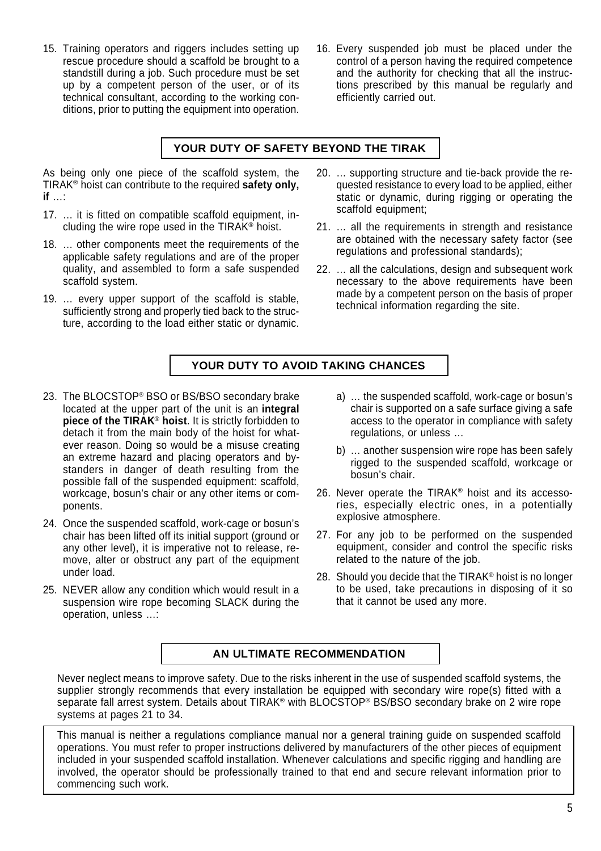- 15. Training operators and riggers includes setting up rescue procedure should a scaffold be brought to a standstill during a job. Such procedure must be set up by a competent person of the user, or of its technical consultant, according to the working conditions, prior to putting the equipment into operation.
- 16. Every suspended job must be placed under the control of a person having the required competence and the authority for checking that all the instructions prescribed by this manual be regularly and efficiently carried out.

#### **YOUR DUTY OF SAFETY BEYOND THE TIRAK**

As being only one piece of the scaffold system, the TIRAK® hoist can contribute to the required **safety only, if** …:

- 17. … it is fitted on compatible scaffold equipment, including the wire rope used in the TIRAK® hoist.
- 18. … other components meet the requirements of the applicable safety regulations and are of the proper quality, and assembled to form a safe suspended scaffold system.
- 19. … every upper support of the scaffold is stable, sufficiently strong and properly tied back to the structure, according to the load either static or dynamic.
- 20. … supporting structure and tie-back provide the requested resistance to every load to be applied, either static or dynamic, during rigging or operating the scaffold equipment;
- 21. … all the requirements in strength and resistance are obtained with the necessary safety factor (see regulations and professional standards);
- 22. … all the calculations, design and subsequent work necessary to the above requirements have been made by a competent person on the basis of proper technical information regarding the site.

### **YOUR DUTY TO AVOID TAKING CHANCES**

- 23. The BLOCSTOP® BSO or BS/BSO secondary brake located at the upper part of the unit is an **integral piece of the TIRAK**® **hoist**. It is strictly forbidden to detach it from the main body of the hoist for whatever reason. Doing so would be a misuse creating an extreme hazard and placing operators and bystanders in danger of death resulting from the possible fall of the suspended equipment: scaffold, workcage, bosun's chair or any other items or components.
- 24. Once the suspended scaffold, work-cage or bosun's chair has been lifted off its initial support (ground or any other level), it is imperative not to release, remove, alter or obstruct any part of the equipment under load.
- 25. NEVER allow any condition which would result in a suspension wire rope becoming SLACK during the operation, unless …:
- a) … the suspended scaffold, work-cage or bosun's chair is supported on a safe surface giving a safe access to the operator in compliance with safety regulations, or unless …
- b) … another suspension wire rope has been safely rigged to the suspended scaffold, workcage or bosun's chair.
- 26. Never operate the TIRAK® hoist and its accessories, especially electric ones, in a potentially explosive atmosphere.
- 27. For any job to be performed on the suspended equipment, consider and control the specific risks related to the nature of the job.
- 28. Should you decide that the TIRAK® hoist is no longer to be used, take precautions in disposing of it so that it cannot be used any more.

### **AN ULTIMATE RECOMMENDATION**

Never neglect means to improve safety. Due to the risks inherent in the use of suspended scaffold systems, the supplier strongly recommends that every installation be equipped with secondary wire rope(s) fitted with a separate fall arrest system. Details about TIRAK® with BLOCSTOP® BS/BSO secondary brake on 2 wire rope systems at pages 21 to 34.

This manual is neither a regulations compliance manual nor a general training guide on suspended scaffold operations. You must refer to proper instructions delivered by manufacturers of the other pieces of equipment included in your suspended scaffold installation. Whenever calculations and specific rigging and handling are involved, the operator should be professionally trained to that end and secure relevant information prior to commencing such work.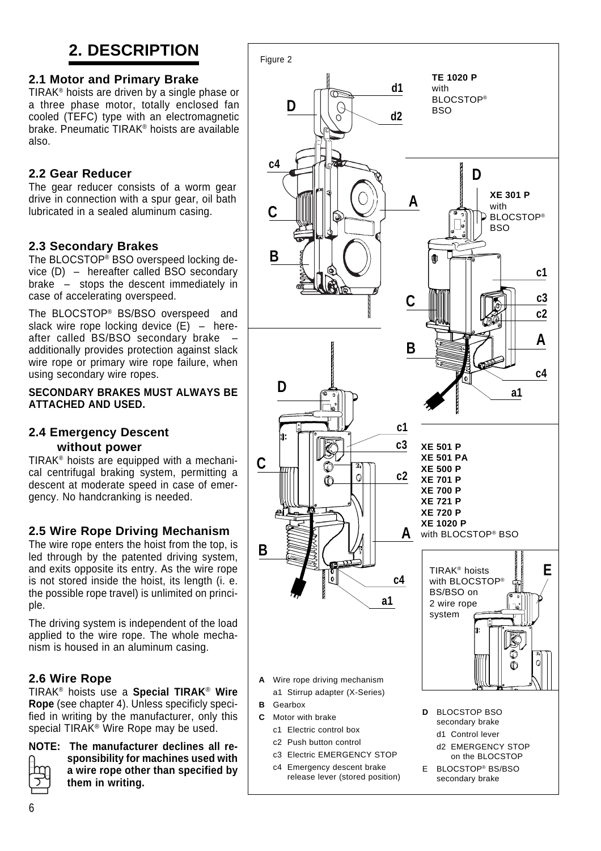# **2. DESCRIPTION**

# **2.1 Motor and Primary Brake**

TIRAK® hoists are driven by a single phase or a three phase motor, totally enclosed fan cooled (TEFC) type with an electromagnetic brake. Pneumatic TIRAK® hoists are available also.

# **2.2 Gear Reducer**

The gear reducer consists of a worm gear drive in connection with a spur gear, oil bath lubricated in a sealed aluminum casing.

# **2.3 Secondary Brakes**

The BLOCSTOP<sup>®</sup> BSO overspeed locking device (D) – hereafter called BSO secondary brake – stops the descent immediately in case of accelerating overspeed.

The BLOCSTOP® BS/BSO overspeed and slack wire rope locking device  $(E)$  – hereafter called BS/BSO secondary brake – additionally provides protection against slack wire rope or primary wire rope failure, when using secondary wire ropes.

**SECONDARY BRAKES MUST ALWAYS BE ATTACHED AND USED.**

### **2.4 Emergency Descent without power**

TIRAK® hoists are equipped with a mechanical centrifugal braking system, permitting a descent at moderate speed in case of emergency. No handcranking is needed.

# **2.5 Wire Rope Driving Mechanism**

The wire rope enters the hoist from the top, is led through by the patented driving system, and exits opposite its entry. As the wire rope is not stored inside the hoist, its length (i. e. the possible rope travel) is unlimited on principle.

The driving system is independent of the load applied to the wire rope. The whole mechanism is housed in an aluminum casing.

### **2.6 Wire Rope**

TIRAK® hoists use a **Special TIRAK**® **Wire Rope** (see chapter 4). Unless specificly specified in writing by the manufacturer, only this special TIRAK<sup>®</sup> Wire Rope may be used.

**NOTE: The manufacturer declines all responsibility for machines used with a wire rope other than specified by them in writing.**

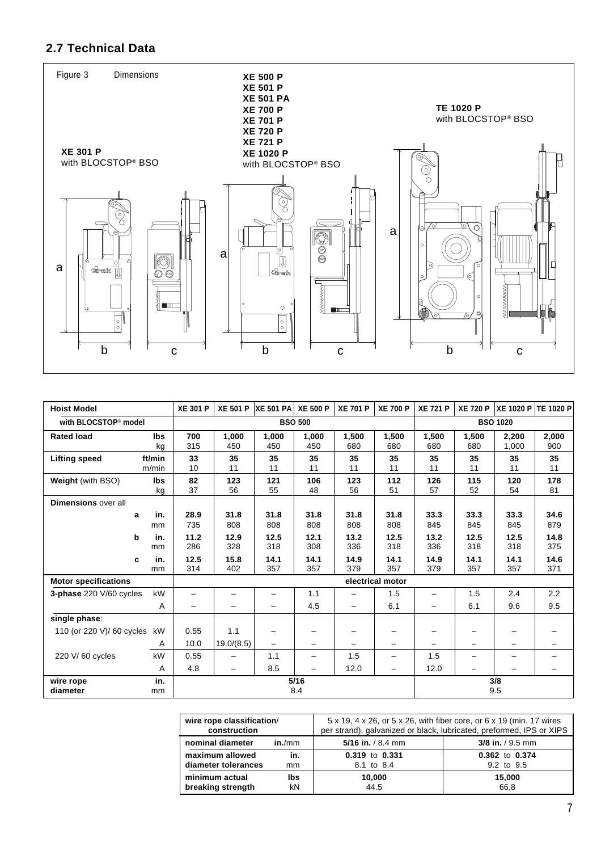# **2.7 Technical Data**



| <b>Hoist Model</b>               |            | <b>XE 301 P</b>  |            | XE 501 P XE 501 PA XE 500 P |       | <b>XE 701 P</b> | <b>XE 700 P</b>          | <b>XE 721 P</b> |       | XE 720 P   XE 1020 P   TE 1020 P |       |
|----------------------------------|------------|------------------|------------|-----------------------------|-------|-----------------|--------------------------|-----------------|-------|----------------------------------|-------|
| with BLOCSTOP <sup>®</sup> model |            |                  |            | <b>BSO 500</b>              |       |                 | <b>BSO 1020</b>          |                 |       |                                  |       |
| <b>Rated load</b>                | lbs        | 700              | 1,000      | 1,000                       | 1,000 | 1,500           | 1,500                    | 1,500           | 1,500 | 2,200                            | 2,000 |
|                                  | kg         | 315              | 450        | 450                         | 450   | 680             | 680                      | 680             | 680   | 1,000                            | 900   |
| <b>Lifting speed</b>             | ft/min     | 33               | 35         | 35                          | 35    | 35              | 35                       | 35              | 35    | 35                               | 35    |
|                                  | m/min      | 10               | 11         | 11                          | 11    | 11              | 11                       | 11              | 11    | 11                               | 11    |
| Weight (with BSO)                | <b>lbs</b> | 82               | 123        | 121                         | 106   | 123             | 112                      | 126             | 115   | 120                              | 178   |
|                                  | kg         | 37               | 56         | 55                          | 48    | 56              | 51                       | 57              | 52    | 54                               | 81    |
| <b>Dimensions over all</b>       |            |                  |            |                             |       |                 |                          |                 |       |                                  |       |
| a                                | in.        | 28.9             | 31.8       | 31.8                        | 31.8  | 31.8            | 31.8                     | 33.3            | 33.3  | 33.3                             | 34.6  |
|                                  | mm         | 735              | 808        | 808                         | 808   | 808             | 808                      | 845             | 845   | 845                              | 879   |
| b                                | in.        | 11.2             | 12.9       | 12.5                        | 12.1  | 13.2            | 12.5                     | 13.2            | 12.5  | 12.5                             | 14.8  |
|                                  | mm         | 286              | 328        | 318                         | 308   | 336             | 318                      | 336             | 318   | 318                              | 375   |
| c                                | in.        | 12.5             | 15.8       | 14.1                        | 14.1  | 14.9            | 14.1                     | 14.9            | 14.1  | 14.1                             | 14.6  |
|                                  | mm         | 314              | 402        | 357                         | 357   | 379             | 357                      | 379             | 357   | 357                              | 371   |
| <b>Motor specifications</b>      |            | electrical motor |            |                             |       |                 |                          |                 |       |                                  |       |
| 3-phase 220 V/60 cycles          | kW         |                  |            | -                           | 1.1   |                 | 1.5                      | -               | 1.5   | 2.4                              | 2.2   |
|                                  | Α          | -                |            | -                           | 4.5   |                 | 6.1                      | -               | 6.1   | 9.6                              | 9.5   |
| single phase:                    |            |                  |            |                             |       |                 |                          |                 |       |                                  |       |
| 110 (or 220 V)/ 60 cycles        | kW         | 0.55             | 1.1        | -                           |       |                 |                          |                 |       |                                  |       |
|                                  | Α          | 10.0             | 19.0/(8.5) | $\overline{\phantom{0}}$    | -     |                 | $\overline{\phantom{0}}$ |                 |       |                                  |       |
| 220 V/60 cycles                  | kW         | 0.55             |            | 1.1                         |       | 1.5             | -                        | 1.5             |       |                                  |       |
|                                  | A          | 4.8              |            | 8.5                         | -     | 12.0            | -                        | 12.0            |       |                                  |       |
| wire rope                        | in.        |                  |            |                             | 5/16  |                 |                          |                 |       | 3/8                              |       |
| diameter                         | mm         |                  |            |                             | 8.4   |                 |                          |                 |       | 9.5                              |       |

| wire rope classification/<br>construction |        | 5 x 19, 4 x 26, or 5 x 26, with fiber core, or 6 x 19 (min. 17 wires<br>per strand), galvanized or black, lubricated, preformed, IPS or XIPS |                    |  |
|-------------------------------------------|--------|----------------------------------------------------------------------------------------------------------------------------------------------|--------------------|--|
| nominal diameter                          | in./mm | 5/16 in. $/ 8.4$ mm                                                                                                                          | $3/8$ in. / 9.5 mm |  |
| maximum allowed                           | in.    | 0.319 to 0.331                                                                                                                               | 0.362 to 0.374     |  |
| diameter tolerances                       | mm     | 8.1 to 8.4                                                                                                                                   | 9.2 to 9.5         |  |
| minimum actual                            | lbs    | 10,000                                                                                                                                       | 15.000             |  |
| breaking strength                         | kN     | 44.5                                                                                                                                         | 66.8               |  |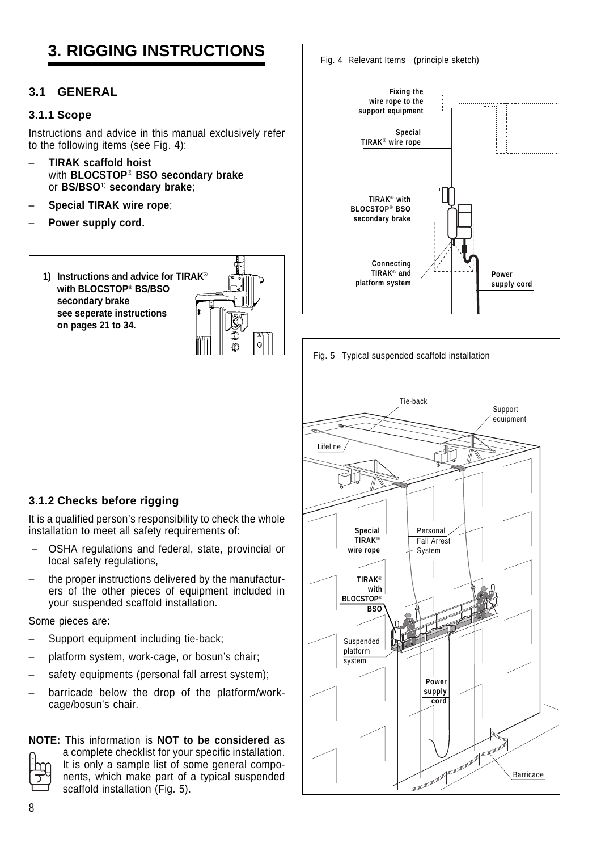# **3. RIGGING INSTRUCTIONS**

### **3.1 GENERAL**

#### **3.1.1 Scope**

Instructions and advice in this manual exclusively refer to the following items (see Fig. 4):

- **TIRAK scaffold hoist** with **BLOCSTOP**® **BSO secondary brake** or **BS/BSO**1) **secondary brake**;
- **Special TIRAK wire rope**;
- **Power supply cord.**

**1) Instructions and advice for TIRAK® with BLOCSTOP® BS/BSO secondary brake see seperate instructions on pages 21 to 34.**





Fig. 5 Typical suspended scaffold installation

# **3.1.2 Checks before rigging**

It is a qualified person's responsibility to check the whole installation to meet all safety requirements of:

- OSHA regulations and federal, state, provincial or local safety regulations.
- the proper instructions delivered by the manufacturers of the other pieces of equipment included in your suspended scaffold installation.

Some pieces are:

- Support equipment including tie-back;
- platform system, work-cage, or bosun's chair;
- safety equipments (personal fall arrest system);
- barricade below the drop of the platform/workcage/bosun's chair.

# **NOTE:** This information is **NOT to be considered** as

a complete checklist for your specific installation. It is only a sample list of some general components, which make part of a typical suspended scaffold installation (Fig. 5).

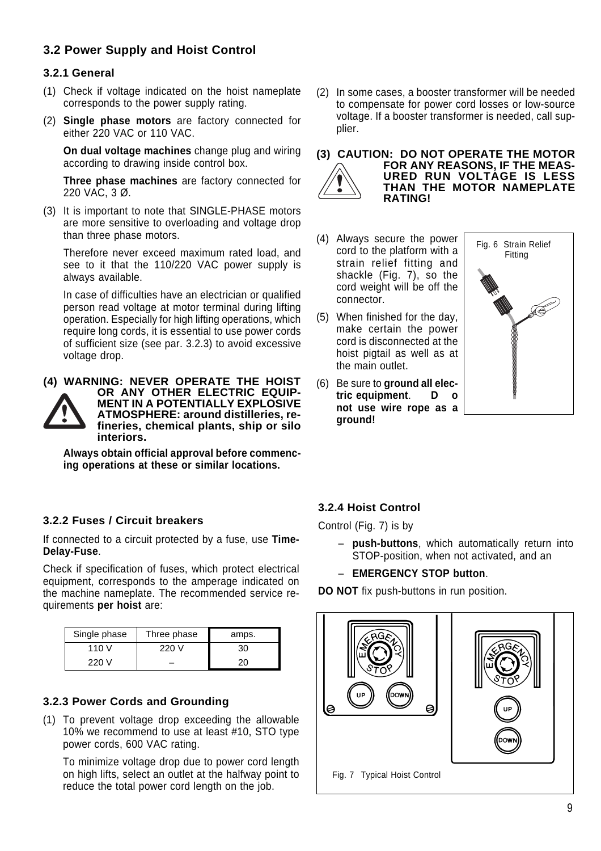# **3.2 Power Supply and Hoist Control**

#### **3.2.1 General**

- (1) Check if voltage indicated on the hoist nameplate corresponds to the power supply rating.
- (2) **Single phase motors** are factory connected for either 220 VAC or 110 VAC.

**On dual voltage machines** change plug and wiring according to drawing inside control box.

**Three phase machines** are factory connected for 220 VAC, 3 Ø.

(3) It is important to note that SINGLE-PHASE motors are more sensitive to overloading and voltage drop than three phase motors.

Therefore never exceed maximum rated load, and see to it that the 110/220 VAC power supply is always available.

In case of difficulties have an electrician or qualified person read voltage at motor terminal during lifting operation. Especially for high lifting operations, which require long cords, it is essential to use power cords of sufficient size (see par. 3.2.3) to avoid excessive voltage drop.



**Always obtain official approval before commencing operations at these or similar locations.**

**3.2.2 Fuses / Circuit breakers**

If connected to a circuit protected by a fuse, use **Time-Delay-Fuse**.

Check if specification of fuses, which protect electrical equipment, corresponds to the amperage indicated on the machine nameplate. The recommended service requirements **per hoist** are:

| Single phase | Three phase | amps. |
|--------------|-------------|-------|
| 110 V        | 220 V       | 30    |
| 220 V        |             |       |

### **3.2.3 Power Cords and Grounding**

(1) To prevent voltage drop exceeding the allowable 10% we recommend to use at least #10, STO type power cords, 600 VAC rating.

To minimize voltage drop due to power cord length on high lifts, select an outlet at the halfway point to reduce the total power cord length on the job.

- (2) In some cases, a booster transformer will be needed to compensate for power cord losses or low-source voltage. If a booster transformer is needed, call supplier.
- **(3) CAUTION: DO NOT OPERATE THE MOTOR FOR ANY REASONS, IF THE MEAS-URED RUN VOLTAGE IS LESS THAN THE MOTOR NAMEPLATE RATING!**
- (4) Always secure the power cord to the platform with a strain relief fitting and shackle (Fig. 7), so the cord weight will be off the connector.
- (5) When finished for the day, make certain the power cord is disconnected at the hoist pigtail as well as at the main outlet.
- (6) Be sure to **ground all electric equipment**. **D o not use wire rope as a ground!**



#### **3.2.4 Hoist Control**

Control (Fig. 7) is by

- **push-buttons**, which automatically return into STOP-position, when not activated, and an
- **EMERGENCY STOP button**.

**DO NOT** fix push-buttons in run position.

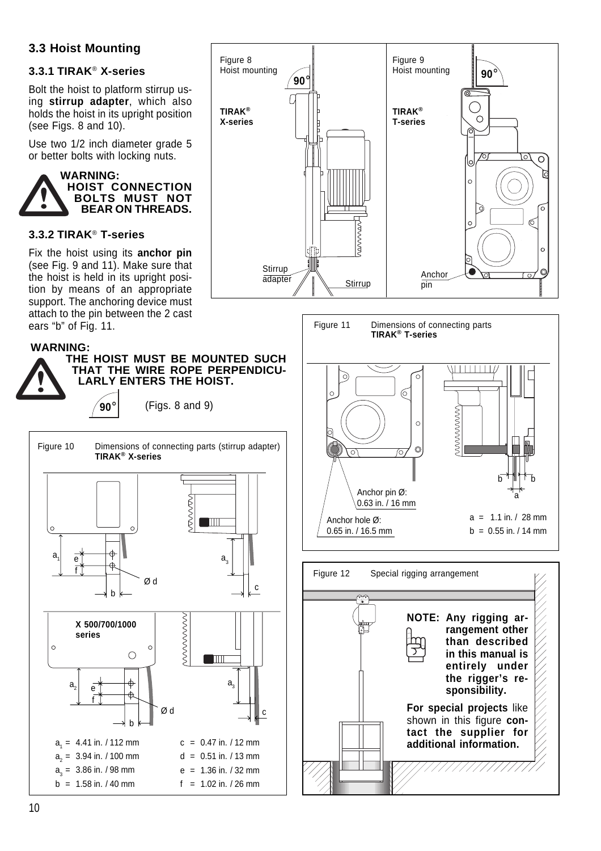# **3.3 Hoist Mounting**

### **3.3.1 TIRAK**® **X-series**

Bolt the hoist to platform stirrup using **stirrup adapter**, which also holds the hoist in its upright position (see Figs. 8 and 10).

Use two 1/2 inch diameter grade 5 or better bolts with locking nuts.



#### **3.3.2 TIRAK**® **T-series**

Fix the hoist using its **anchor pin** (see Fig. 9 and 11). Make sure that the hoist is held in its upright position by means of an appropriate support. The anchoring device must attach to the pin between the 2 cast ears "b" of Fig. 11.

#### **WARNING:**



Figure 10 Dimensions of connecting parts (stirrup adapter) **THE HOIST MUST BE MOUNTED SUCH THAT THE WIRE ROPE PERPENDICU-LARLY ENTERS THE HOIST. 90°** (Figs. 8 and 9)







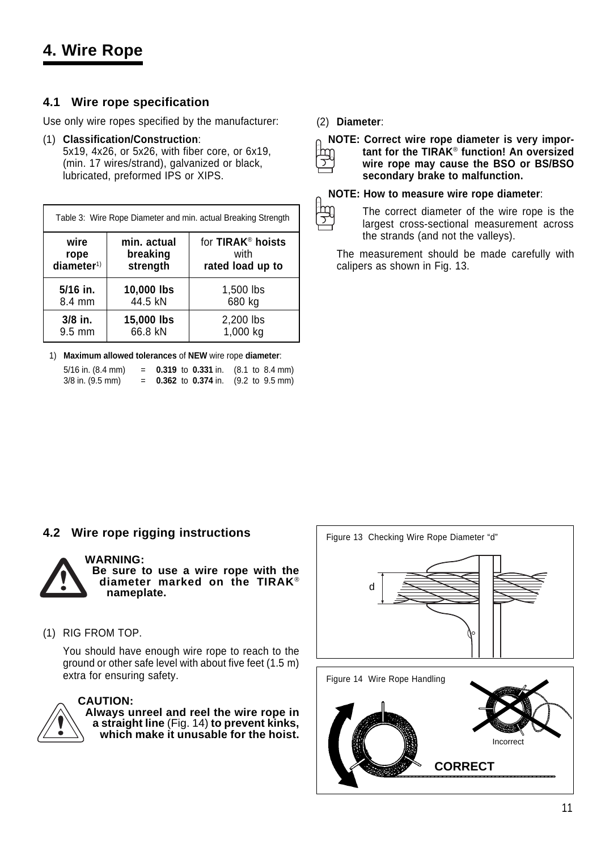# **4. Wire Rope**

### **4.1 Wire rope specification**

Use only wire ropes specified by the manufacturer:

(1) **Classification/Construction**: 5x19, 4x26, or 5x26, with fiber core, or 6x19, (min. 17 wires/strand), galvanized or black, lubricated, preformed IPS or XIPS.

| Table 3: Wire Rope Diameter and min. actual Breaking Strength |             |                               |  |  |  |
|---------------------------------------------------------------|-------------|-------------------------------|--|--|--|
| wire                                                          | min. actual | for TIRAK <sup>®</sup> hoists |  |  |  |
| rope                                                          | breaking    | with                          |  |  |  |
| diameter <sup>1</sup>                                         | strength    | rated load up to              |  |  |  |
| 5/16 in.                                                      | 10,000 lbs  | 1,500 lbs                     |  |  |  |
| 8.4 mm                                                        | 44.5 kN     | 680 kg                        |  |  |  |
| 3/8 in.                                                       | 15,000 lbs  | 2,200 lbs                     |  |  |  |
| 9.5 mm                                                        | 66.8 kN     | 1,000 kg                      |  |  |  |

1) **Maximum allowed tolerances** of **NEW** wire rope **diameter**:

| 5/16 in. (8.4 mm) | <b>0.319</b> to <b>0.331</b> in. $(8.1 \text{ to } 8.4 \text{ mm})$ |  |
|-------------------|---------------------------------------------------------------------|--|
| 3/8 in. (9.5 mm)  | <b>0.362</b> to <b>0.374</b> in. $(9.2 \text{ to } 9.5 \text{ mm})$ |  |

(2) **Diameter**:



 $\overline{z}$ 

**NOTE: Correct wire rope diameter is very important for the TIRAK**® **function! An oversized wire rope may cause the BSO or BS/BSO secondary brake to malfunction.**

#### **NOTE: How to measure wire rope diameter**:

The correct diameter of the wire rope is the largest cross-sectional measurement across the strands (and not the valleys).

The measurement should be made carefully with calipers as shown in Fig. 13.

# **4.2 Wire rope rigging instructions**



**WARNING: Be sure to use a wire rope with the diameter marked on the TIRAK**® **nameplate.**

(1) RIG FROM TOP.

You should have enough wire rope to reach to the ground or other safe level with about five feet (1.5 m) extra for ensuring safety.



#### **CAUTION:**

**Always unreel and reel the wire rope in a straight line** (Fig. 14) **to prevent kinks, which make it unusable for the hoist.**

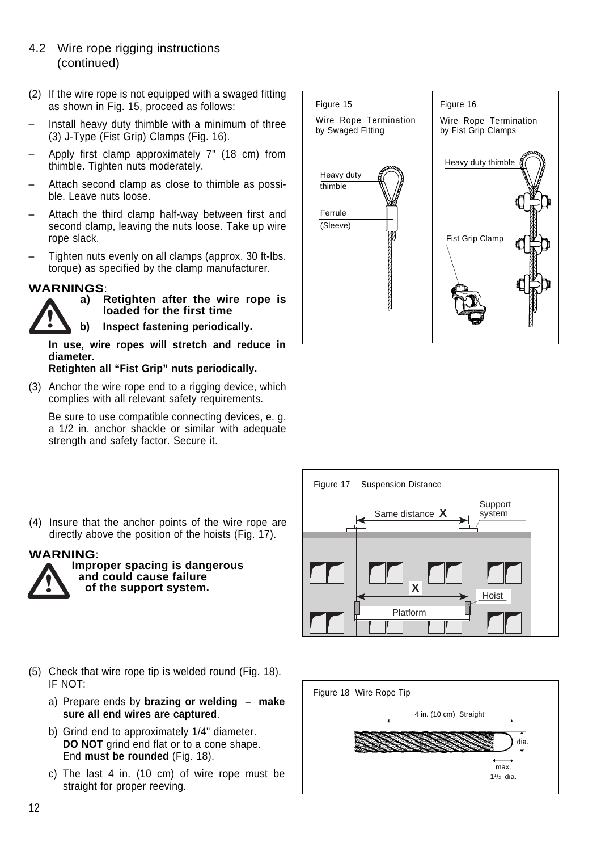### 4.2 Wire rope rigging instructions (continued)

- (2) If the wire rope is not equipped with a swaged fitting as shown in Fig. 15, proceed as follows:
- Install heavy duty thimble with a minimum of three (3) J-Type (Fist Grip) Clamps (Fig. 16).
- Apply first clamp approximately 7" (18 cm) from thimble. Tighten nuts moderately.
- Attach second clamp as close to thimble as possible. Leave nuts loose.
- Attach the third clamp half-way between first and second clamp, leaving the nuts loose. Take up wire rope slack.
- Tighten nuts evenly on all clamps (approx. 30 ft-lbs. torque) as specified by the clamp manufacturer.

# **WARNINGS**:



**a) Retighten after the wire rope is loaded for the first time**

**b) Inspect fastening periodically.**

**In use, wire ropes will stretch and reduce in diameter.**

#### **Retighten all "Fist Grip" nuts periodically.**

(3) Anchor the wire rope end to a rigging device, which complies with all relevant safety requirements.

Be sure to use compatible connecting devices, e. g. a 1/2 in. anchor shackle or similar with adequate strength and safety factor. Secure it.





(4) Insure that the anchor points of the wire rope are directly above the position of the hoists (Fig. 17).

**WARNING**:



**Improper spacing is dangerous and could cause failure of the support system.**

- (5) Check that wire rope tip is welded round (Fig. 18). IF NOT:
	- a) Prepare ends by **brazing or welding make sure all end wires are captured**.
	- b) Grind end to approximately 1/4" diameter. **DO NOT** grind end flat or to a cone shape. End **must be rounded** (Fig. 18).
	- c) The last 4 in. (10 cm) of wire rope must be straight for proper reeving.

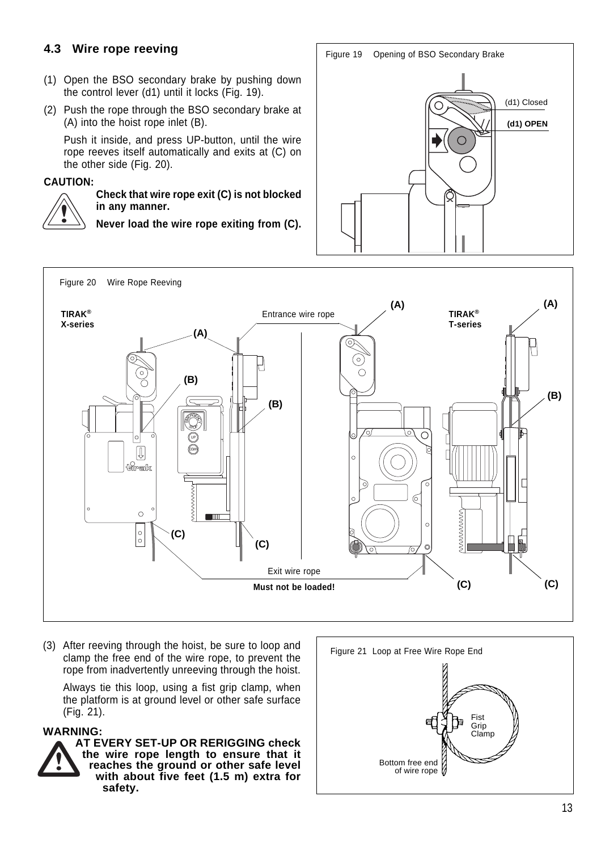# **4.3 Wire rope reeving**

- (1) Open the BSO secondary brake by pushing down the control lever (d1) until it locks (Fig. 19).
- (2) Push the rope through the BSO secondary brake at (A) into the hoist rope inlet (B).

Push it inside, and press UP-button, until the wire rope reeves itself automatically and exits at (C) on the other side (Fig. 20).

#### **CAUTION:**



#### **Check that wire rope exit (C) is not blocked in any manner.**

**Never load the wire rope exiting from (C).**





(3) After reeving through the hoist, be sure to loop and clamp the free end of the wire rope, to prevent the rope from inadvertently unreeving through the hoist.

Always tie this loop, using a fist grip clamp, when the platform is at ground level or other safe surface (Fig. 21).

#### **WARNING:**



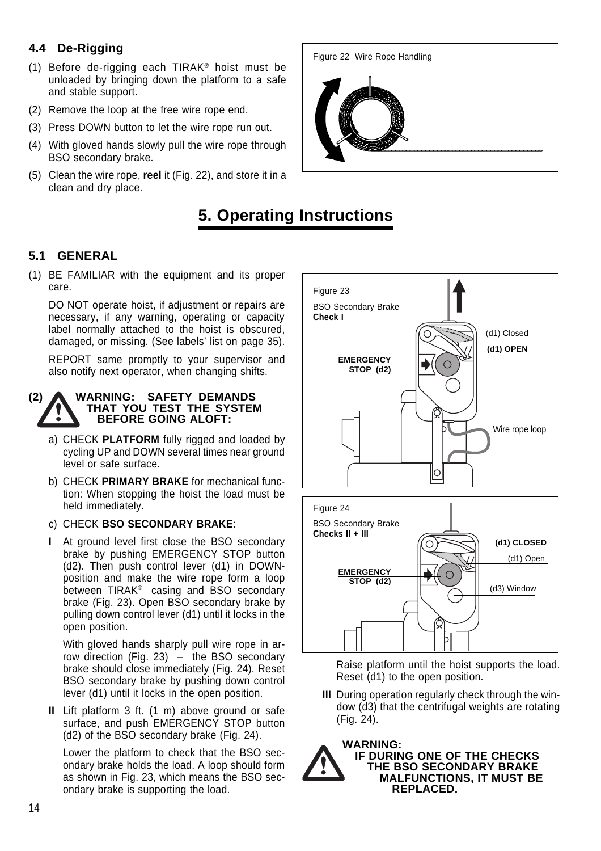# **4.4 De-Rigging**

- (1) Before de-rigging each TIRAK® hoist must be unloaded by bringing down the platform to a safe and stable support.
- (2) Remove the loop at the free wire rope end.
- (3) Press DOWN button to let the wire rope run out.
- (4) With gloved hands slowly pull the wire rope through BSO secondary brake.
- (5) Clean the wire rope, **reel** it (Fig. 22), and store it in a clean and dry place.



# **5. Operating Instructions**

### **5.1 GENERAL**

(1) BE FAMILIAR with the equipment and its proper care.

DO NOT operate hoist, if adjustment or repairs are necessary, if any warning, operating or capacity label normally attached to the hoist is obscured, damaged, or missing. (See labels' list on page 35).

REPORT same promptly to your supervisor and also notify next operator, when changing shifts.

#### **(2) WARNING: SAFETY DEMANDS THAT YOU TEST THE SYSTEM BEFORE GOING ALOFT:**

- a) CHECK **PLATFORM** fully rigged and loaded by cycling UP and DOWN several times near ground level or safe surface.
- b) CHECK **PRIMARY BRAKE** for mechanical function: When stopping the hoist the load must be held immediately.
- c) CHECK **BSO SECONDARY BRAKE**:
- **I** At ground level first close the BSO secondary brake by pushing EMERGENCY STOP button (d2). Then push control lever (d1) in DOWNposition and make the wire rope form a loop between TIRAK® casing and BSO secondary brake (Fig. 23). Open BSO secondary brake by pulling down control lever (d1) until it locks in the open position.

With gloved hands sharply pull wire rope in arrow direction (Fig. 23) – the BSO secondary brake should close immediately (Fig. 24). Reset BSO secondary brake by pushing down control lever (d1) until it locks in the open position.

**II** Lift platform 3 ft. (1 m) above ground or safe surface, and push EMERGENCY STOP button (d2) of the BSO secondary brake (Fig. 24).

Lower the platform to check that the BSO secondary brake holds the load. A loop should form as shown in Fig. 23, which means the BSO secondary brake is supporting the load.



Raise platform until the hoist supports the load. Reset (d1) to the open position.

**III** During operation regularly check through the window (d3) that the centrifugal weights are rotating (Fig. 24).

**WARNING:**



**IF DURING ONE OF THE CHECKS THE BSO SECONDARY BRAKE MALFUNCTIONS, IT MUST BE REPLACED.**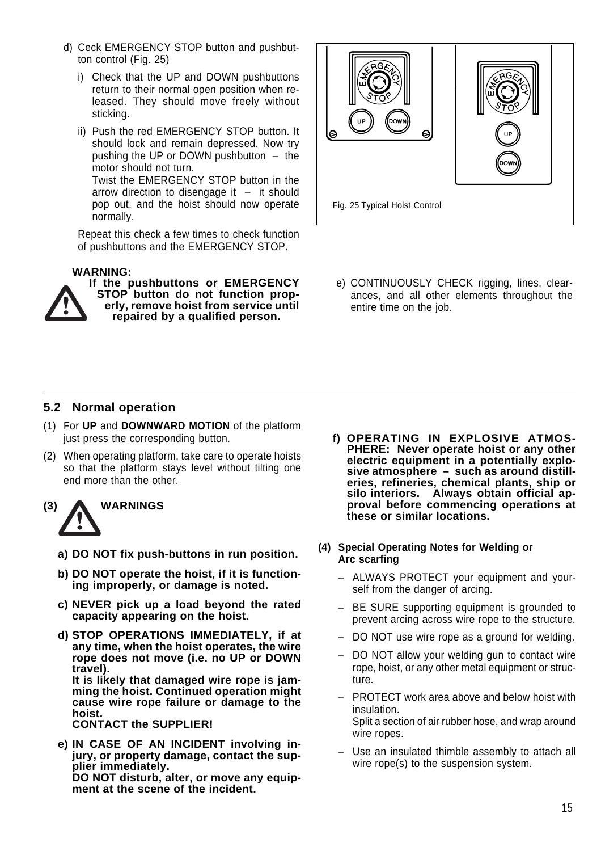- d) Ceck EMERGENCY STOP button and pushbutton control (Fig. 25)
	- i) Check that the UP and DOWN pushbuttons return to their normal open position when released. They should move freely without sticking.
	- ii) Push the red EMERGENCY STOP button. It should lock and remain depressed. Now try pushing the UP or DOWN pushbutton – the motor should not turn. Twist the EMERGENCY STOP button in the arrow direction to disengage it  $-$  it should pop out, and the hoist should now operate normally.

Repeat this check a few times to check function of pushbuttons and the EMERGENCY STOP.

#### **WARNING:**



**If the pushbuttons or EMERGENCY STOP button do not function properly, remove hoist from service until repaired by a qualified person.**



e) CONTINUOUSLY CHECK rigging, lines, clearances, and all other elements throughout the entire time on the job.

### **5.2 Normal operation**

- (1) For **UP** and **DOWNWARD MOTION** of the platform just press the corresponding button.
- (2) When operating platform, take care to operate hoists so that the platform stays level without tilting one end more than the other.

# **(3) WARNINGS**

- **a) DO NOT fix push-buttons in run position.**
- **b) DO NOT operate the hoist, if it is functioning improperly, or damage is noted.**
- **c) NEVER pick up a load beyond the rated capacity appearing on the hoist.**
- **d) STOP OPERATIONS IMMEDIATELY, if at any time, when the hoist operates, the wire rope does not move (i.e. no UP or DOWN travel). It is likely that damaged wire rope is jamming the hoist. Continued operation might cause wire rope failure or damage to the hoist.**

**CONTACT the SUPPLIER!**

**e) IN CASE OF AN INCIDENT involving injury, or property damage, contact the supplier immediately. DO NOT disturb, alter, or move any equipment at the scene of the incident.**

- **f) OPERATING IN EXPLOSIVE ATMOS-PHERE: Never operate hoist or any other electric equipment in a potentially explosive atmosphere – such as around distilleries, refineries, chemical plants, ship or silo interiors. Always obtain official approval before commencing operations at these or similar locations.**
- **(4) Special Operating Notes for Welding or Arc scarfing**
	- ALWAYS PROTECT your equipment and yourself from the danger of arcing.
	- BE SURE supporting equipment is grounded to prevent arcing across wire rope to the structure.
	- DO NOT use wire rope as a ground for welding.
	- DO NOT allow your welding gun to contact wire rope, hoist, or any other metal equipment or structure.
	- PROTECT work area above and below hoist with insulation. Split a section of air rubber hose, and wrap around wire ropes.
	- Use an insulated thimble assembly to attach all wire rope(s) to the suspension system.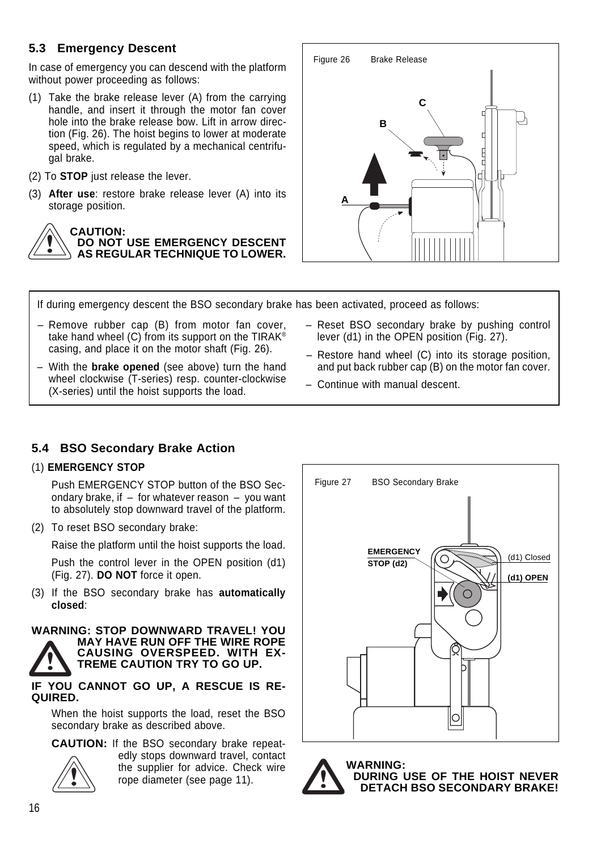# **5.3 Emergency Descent**

In case of emergency you can descend with the platform without power proceeding as follows:

- (1) Take the brake release lever (A) from the carrying handle, and insert it through the motor fan cover hole into the brake release bow. Lift in arrow direction (Fig. 26). The hoist begins to lower at moderate speed, which is regulated by a mechanical centrifugal brake.
- (2) To **STOP** just release the lever.
- (3) **After use**: restore brake release lever (A) into its storage position.



#### **CAUTION: DO NOT USE EMERGENCY DESCENT AS REGULAR TECHNIQUE TO LOWER.**



If during emergency descent the BSO secondary brake has been activated, proceed as follows:

- Remove rubber cap (B) from motor fan cover, take hand wheel  $(C)$  from its support on the TIRAK<sup>®</sup> casing, and place it on the motor shaft (Fig. 26).
- With the **brake opened** (see above) turn the hand wheel clockwise (T-series) resp. counter-clockwise (X-series) until the hoist supports the load.
- Reset BSO secondary brake by pushing control lever (d1) in the OPEN position (Fig. 27).
- Restore hand wheel (C) into its storage position, and put back rubber cap (B) on the motor fan cover.
- Continue with manual descent.

# **5.4 BSO Secondary Brake Action**

### (1) **EMERGENCY STOP**

Push EMERGENCY STOP button of the BSO Secondary brake, if  $-$  for whatever reason  $-$  you want to absolutely stop downward travel of the platform.

(2) To reset BSO secondary brake:

Raise the platform until the hoist supports the load.

Push the control lever in the OPEN position (d1) (Fig. 27). **DO NOT** force it open.

(3) If the BSO secondary brake has **automatically closed**:

#### **WARNING: STOP DOWNWARD TRAVEL! YOU MAY HAVE RUN OFF THE WIRE ROPE CAUSING OVERSPEED. WITH EX-TREME CAUTION TRY TO GO UP.**

**IF YOU CANNOT GO UP, A RESCUE IS RE-QUIRED.**

When the hoist supports the load, reset the BSO secondary brake as described above.

**CAUTION:** If the BSO secondary brake repeatedly stops downward travel, contact the supplier for advice. Check wire rope diameter (see page 11).





**WARNING: DURING USE OF THE HOIST NEVER DETACH BSO SECONDARY BRAKE!**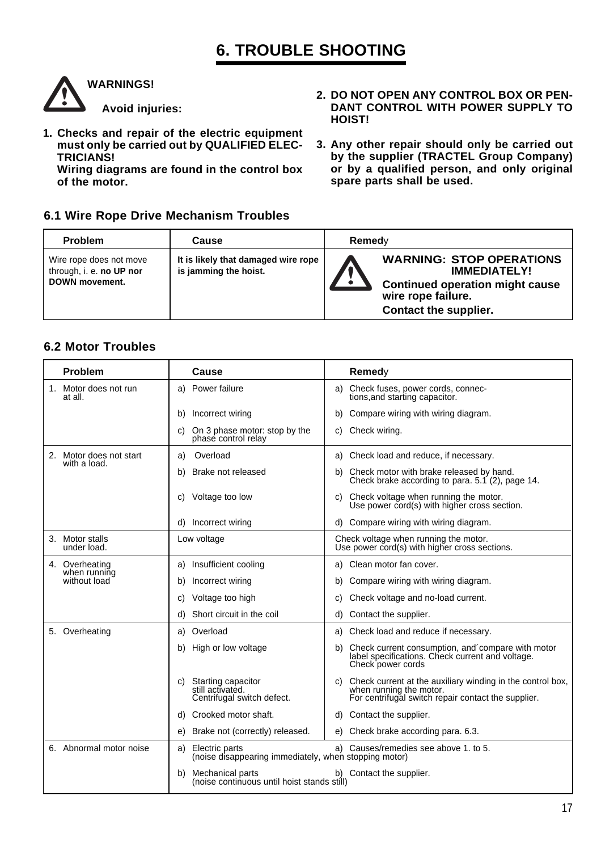# **6. TROUBLE SHOOTING**



**Avoid injuries:**

**1. Checks and repair of the electric equipment must only be carried out by QUALIFIED ELEC-TRICIANS!**

**Wiring diagrams are found in the control box of the motor.**

### **6.1 Wire Rope Drive Mechanism Troubles**

- **2. DO NOT OPEN ANY CONTROL BOX OR PEN-DANT CONTROL WITH POWER SUPPLY TO HOIST!**
- **3. Any other repair should only be carried out by the supplier (TRACTEL Group Company) or by a qualified person, and only original spare parts shall be used.**

| <b>Problem</b>                                                               | Cause                                                        | Remed∨ |                                                                                                                                                 |
|------------------------------------------------------------------------------|--------------------------------------------------------------|--------|-------------------------------------------------------------------------------------------------------------------------------------------------|
| Wire rope does not move<br>through, i. e. no UP nor<br><b>DOWN movement.</b> | It is likely that damaged wire rope<br>is jamming the hoist. |        | <b>WARNING: STOP OPERATIONS</b><br><b>IMMEDIATELY!</b><br><b>Continued operation might cause</b><br>wire rope failure.<br>Contact the supplier. |

### **6.2 Motor Troubles**

|                        | <b>Problem</b>                 | Cause                                                                         | Remedy                                                                                                                                             |
|------------------------|--------------------------------|-------------------------------------------------------------------------------|----------------------------------------------------------------------------------------------------------------------------------------------------|
| 1.                     | Motor does not run<br>at all.  | a) Power failure                                                              | a) Check fuses, power cords, connec-<br>tions, and starting capacitor.                                                                             |
|                        |                                | Incorrect wiring<br>b)                                                        | Compare wiring with wiring diagram.<br>b)                                                                                                          |
|                        |                                | On 3 phase motor: stop by the<br>C)<br>phase control relay                    | Check wiring.<br>C)                                                                                                                                |
| 2.                     | Motor does not start           | Overload<br>a)                                                                | a) Check load and reduce, if necessary.                                                                                                            |
|                        | with a load.                   | Brake not released<br>b)                                                      | Check motor with brake released by hand.<br>b)<br>Check brake according to para. $5.1$ (2), page 14.                                               |
|                        |                                | Voltage too low<br>C)                                                         | Check voltage when running the motor.<br>C)<br>Use power cord(s) with higher cross section.                                                        |
|                        |                                | d) Incorrect wiring                                                           | d) Compare wiring with wiring diagram.                                                                                                             |
| 3.                     | Motor stalls<br>under load.    | Low voltage                                                                   | Check voltage when running the motor.<br>Use power cord(s) with higher cross sections.                                                             |
|                        | 4. Overheating<br>when running | Insufficient cooling<br>a)                                                    | a) Clean motor fan cover.                                                                                                                          |
|                        | without load                   | Incorrect wiring<br>b)                                                        | Compare wiring with wiring diagram.<br>b)                                                                                                          |
|                        |                                | Voltage too high<br>C)                                                        | Check voltage and no-load current.<br>C)                                                                                                           |
|                        |                                | Short circuit in the coil<br>d)                                               | Contact the supplier.<br>d)                                                                                                                        |
|                        | 5. Overheating                 | Overload<br>a)                                                                | Check load and reduce if necessary.<br>a)                                                                                                          |
|                        |                                | High or low voltage<br>b)                                                     | Check current consumption, and compare with motor<br>b)<br>label specifications. Check current and voltage.<br>Check power cords                   |
|                        |                                | Starting capacitor<br>C)<br>still activated.<br>Centrifugal switch defect.    | Check current at the auxiliary winding in the control box,<br>C)<br>when running the motor.<br>For centrifugal switch repair contact the supplier. |
|                        |                                | Crooked motor shaft.<br>d)                                                    | Contact the supplier.<br>d)                                                                                                                        |
|                        |                                | Brake not (correctly) released.<br>e)                                         | e) Check brake according para. 6.3.                                                                                                                |
|                        | 6. Abnormal motor noise        | Electric parts<br>a)<br>(noise disappearing immediately, when stopping motor) | a) Causes/remedies see above 1. to 5.                                                                                                              |
| Mechanical parts<br>b) |                                | (noise continuous until hoist stands still)                                   | b) Contact the supplier.                                                                                                                           |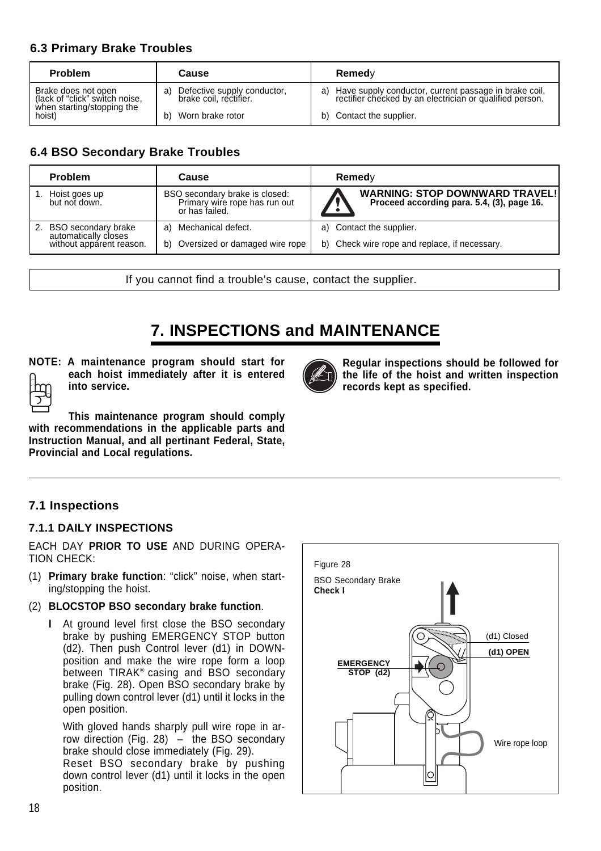## **6.3 Primary Brake Troubles**

| <b>Problem</b>                                        | Cause                                                    | Remedy                                                                                                               |
|-------------------------------------------------------|----------------------------------------------------------|----------------------------------------------------------------------------------------------------------------------|
| Brake does not open<br>(lack of "click" switch noise, | a) Defective supply conductor,<br>brake coil, rectifier. | a) Have supply conductor, current passage in brake coil,<br>rectifier checked by an electrician or qualified person. |
| when starting/stopping the<br>hoist)                  | Worn brake rotor<br>b)                                   | b) Contact the supplier.                                                                                             |

## **6.4 BSO Secondary Brake Troubles**

| <b>Problem</b>                                 | Cause                                                                             | Remedy                                                                              |
|------------------------------------------------|-----------------------------------------------------------------------------------|-------------------------------------------------------------------------------------|
| Hoist goes up<br>but not down.                 | BSO secondary brake is closed:<br>Primary wire rope has run out<br>or has failed. | <b>WARNING: STOP DOWNWARD TRAVEL!</b><br>Proceed according para. 5.4, (3), page 16. |
| 2. BSO secondary brake<br>automatically closes | Mechanical defect.<br>a)                                                          | a) Contact the supplier.                                                            |
| without apparent reason.                       | Oversized or damaged wire rope<br>b)                                              | b) Check wire rope and replace, if necessary.                                       |

If you cannot find a trouble's cause, contact the supplier.

# **7. INSPECTIONS and MAINTENANCE**



**NOTE: A maintenance program should start for each hoist immediately after it is entered into service.**



**with recommendations in the applicable parts and Instruction Manual, and all pertinant Federal, State, Provincial and Local regulations.**

# **7.1 Inspections**

#### **7.1.1 DAILY INSPECTIONS**

EACH DAY **PRIOR TO USE** AND DURING OPERA-TION CHECK:

- (1) **Primary brake function**: "click" noise, when starting/stopping the hoist.
- (2) **BLOCSTOP BSO secondary brake function**.
	- **I** At ground level first close the BSO secondary brake by pushing EMERGENCY STOP button (d2). Then push Control lever (d1) in DOWNposition and make the wire rope form a loop between TIRAK® casing and BSO secondary brake (Fig. 28). Open BSO secondary brake by pulling down control lever (d1) until it locks in the open position.

With gloved hands sharply pull wire rope in arrow direction (Fig. 28) – the BSO secondary brake should close immediately (Fig. 29).

Reset BSO secondary brake by pushing down control lever (d1) until it locks in the open position.



**Regular inspections should be followed for the life of the hoist and written inspection**

**records kept as specified.**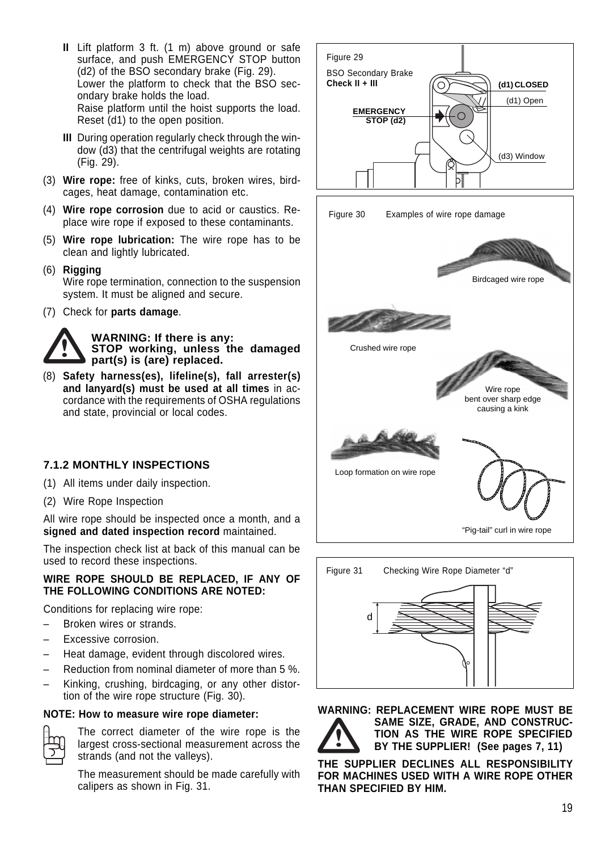- **II** Lift platform 3 ft. (1 m) above ground or safe surface, and push EMERGENCY STOP button (d2) of the BSO secondary brake (Fig. 29). Lower the platform to check that the BSO secondary brake holds the load. Raise platform until the hoist supports the load. Reset (d1) to the open position.
- **III** During operation regularly check through the window (d3) that the centrifugal weights are rotating (Fig. 29).
- (3) **Wire rope:** free of kinks, cuts, broken wires, birdcages, heat damage, contamination etc.
- (4) **Wire rope corrosion** due to acid or caustics. Replace wire rope if exposed to these contaminants.
- (5) **Wire rope lubrication:** The wire rope has to be clean and lightly lubricated.
- (6) **Rigging** Wire rope termination, connection to the suspension system. It must be aligned and secure.
- (7) Check for **parts damage**.



(8) **Safety harness(es), lifeline(s), fall arrester(s) and lanyard(s) must be used at all times** in accordance with the requirements of OSHA regulations and state, provincial or local codes.

### **7.1.2 MONTHLY INSPECTIONS**

- (1) All items under daily inspection.
- (2) Wire Rope Inspection

All wire rope should be inspected once a month, and a **signed and dated inspection record** maintained.

The inspection check list at back of this manual can be used to record these inspections.

#### **WIRE ROPE SHOULD BE REPLACED, IF ANY OF THE FOLLOWING CONDITIONS ARE NOTED:**

Conditions for replacing wire rope:

- Broken wires or strands.
- Excessive corrosion.
- Heat damage, evident through discolored wires.
- Reduction from nominal diameter of more than 5 %.
- Kinking, crushing, birdcaging, or any other distortion of the wire rope structure (Fig. 30).

#### **NOTE: How to measure wire rope diameter:**



The correct diameter of the wire rope is the largest cross-sectional measurement across the strands (and not the valleys).

The measurement should be made carefully with calipers as shown in Fig. 31.







**WARNING: REPLACEMENT WIRE ROPE MUST BE**

**SAME SIZE, GRADE, AND CONSTRUC-TION AS THE WIRE ROPE SPECIFIED BY THE SUPPLIER! (See pages 7, 11)**

**THE SUPPLIER DECLINES ALL RESPONSIBILITY FOR MACHINES USED WITH A WIRE ROPE OTHER THAN SPECIFIED BY HIM.**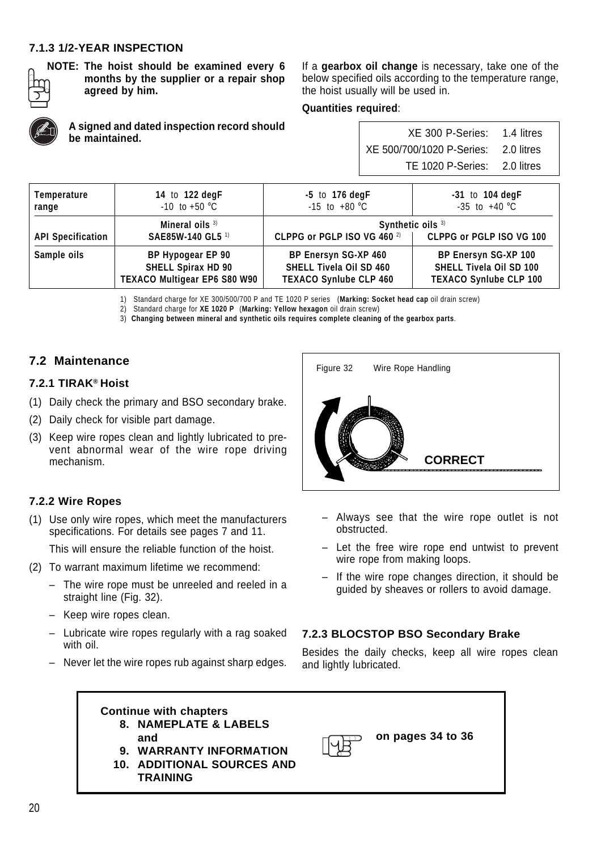### **7.1.3 1/2-YEAR INSPECTION**

**be maintained.**



**NOTE: The hoist should be examined every 6 months by the supplier or a repair shop agreed by him.**

**A signed and dated inspection record should**

If a **gearbox oil change** is necessary, take one of the below specified oils according to the temperature range, the hoist usually will be used in.

#### **Quantities required**:

| XE 300 P-Series: 1.4 litres          |  |
|--------------------------------------|--|
| XE 500/700/1020 P-Series: 2.0 litres |  |
| TE 1020 P-Series: 2.0 litres         |  |

| Temperature              | 14 to 122 degF               | $-5$ to 176 degF               | $-31$ to 104 degF              |  |  |
|--------------------------|------------------------------|--------------------------------|--------------------------------|--|--|
| range                    | $-10$ to $+50$ °C            | $-15$ to $+80$ °C              | $-35$ to $+40$ °C              |  |  |
| Mineral oils $3)$        |                              | Synthetic oils 3)              |                                |  |  |
| SAE85W-140 GL5 1)        |                              | CLPPG or PGLP ISO VG 460 2)    |                                |  |  |
| <b>API Specification</b> |                              | CLPPG or PGLP ISO VG 100       |                                |  |  |
| Sample oils              | BP Hypogear EP 90            | <b>BP Enersyn SG-XP 460</b>    | BP Enersyn SG-XP 100           |  |  |
|                          | <b>SHELL Spirax HD 90</b>    | <b>SHELL Tivela Oil SD 460</b> | <b>SHELL Tivela Oil SD 100</b> |  |  |
|                          | TEXACO Multigear EP6 S80 W90 | <b>TEXACO Synlube CLP 460</b>  | <b>TEXACO Synlube CLP 100</b>  |  |  |

1) Standard charge for XE 300/500/700 P and TE 1020 P series (**Marking: Socket head cap** oil drain screw)

2) Standard charge for **XE 1020 P** (**Marking: Yellow hexagon** oil drain screw)

3) **Changing between mineral and synthetic oils requires complete cleaning of the gearbox parts**.

### **7.2 Maintenance**

#### **7.2.1 TIRAK® Hoist**

- (1) Daily check the primary and BSO secondary brake.
- (2) Daily check for visible part damage.
- (3) Keep wire ropes clean and lightly lubricated to prevent abnormal wear of the wire rope driving mechanism.

#### **7.2.2 Wire Ropes**

(1) Use only wire ropes, which meet the manufacturers specifications. For details see pages 7 and 11.

This will ensure the reliable function of the hoist.

- (2) To warrant maximum lifetime we recommend:
	- The wire rope must be unreeled and reeled in a straight line (Fig. 32).
	- Keep wire ropes clean.
	- Lubricate wire ropes regularly with a rag soaked with oil.
	- Never let the wire ropes rub against sharp edges.



- Always see that the wire rope outlet is not obstructed.
- Let the free wire rope end untwist to prevent wire rope from making loops.
- If the wire rope changes direction, it should be guided by sheaves or rollers to avoid damage.

#### **7.2.3 BLOCSTOP BSO Secondary Brake**

Besides the daily checks, keep all wire ropes clean and lightly lubricated.

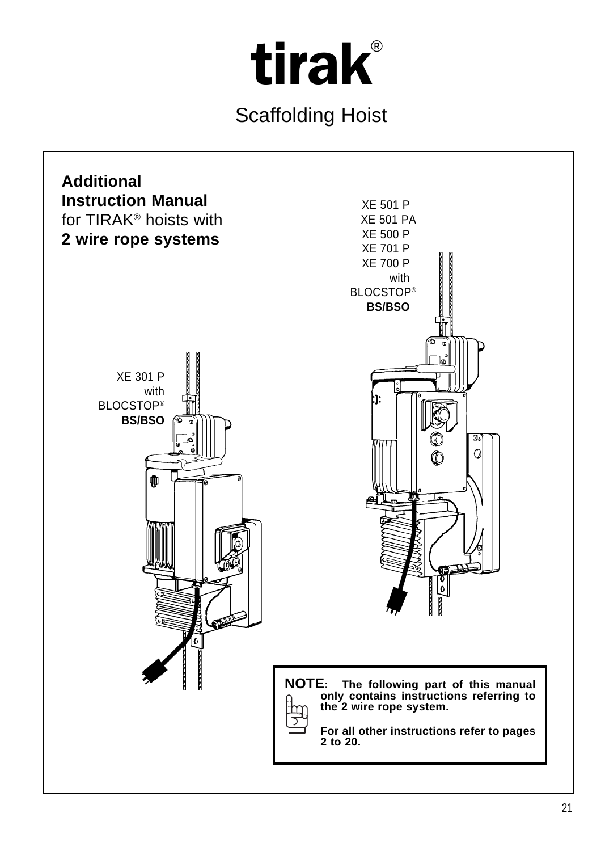

Scaffolding Hoist

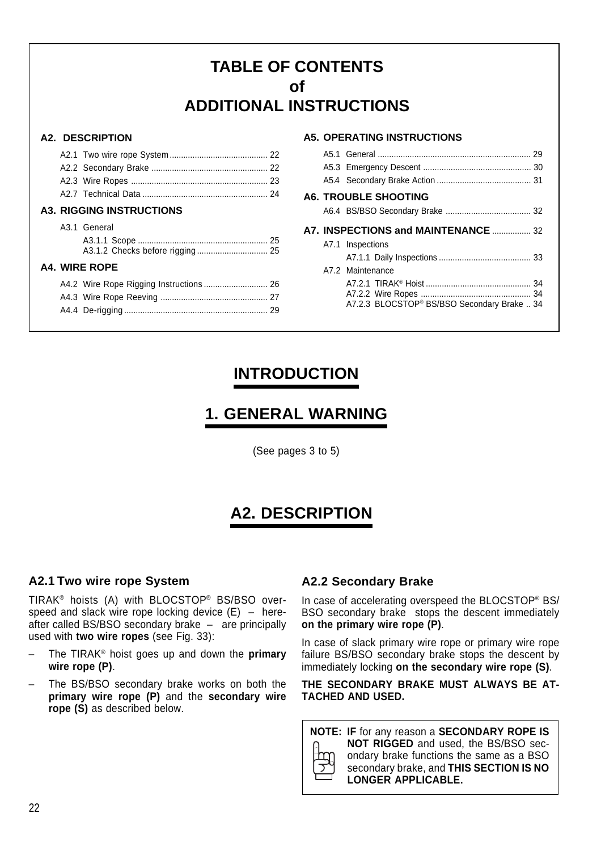# **TABLE OF CONTENTS of ADDITIONAL INSTRUCTIONS**

#### **A2. DESCRIPTION**

|  | <b>A3. RIGGING INSTRUCTIONS</b> |
|--|---------------------------------|
|  | A3.1 General                    |
|  |                                 |
|  | A4. WIRE ROPE                   |
|  |                                 |
|  |                                 |
|  |                                 |
|  |                                 |

#### **A5. OPERATING INSTRUCTIONS**

|  | <b>A6. TROUBLE SHOOTING</b>                 |
|--|---------------------------------------------|
|  |                                             |
|  | <b>A7. INSPECTIONS and MAINTENANCE  32</b>  |
|  | A7.1 Inspections                            |
|  |                                             |
|  | A7.2 Maintenance                            |
|  |                                             |
|  | A7.2.3 BLOCSTOP® BS/BSO Secondary Brake  34 |
|  |                                             |

# **INTRODUCTION**

# **1. GENERAL WARNING**

(See pages 3 to 5)

# **A2. DESCRIPTION**

# **A2.1 Two wire rope System**

TIRAK® hoists (A) with BLOCSTOP® BS/BSO overspeed and slack wire rope locking device  $(E)$  – hereafter called BS/BSO secondary brake – are principally used with **two wire ropes** (see Fig. 33):

- The TIRAK® hoist goes up and down the **primary wire rope (P)**.
- The BS/BSO secondary brake works on both the **primary wire rope (P)** and the **secondary wire rope (S)** as described below.

# **A2.2 Secondary Brake**

In case of accelerating overspeed the BLOCSTOP® BS/ BSO secondary brake stops the descent immediately **on the primary wire rope (P)**.

In case of slack primary wire rope or primary wire rope failure BS/BSO secondary brake stops the descent by immediately locking **on the secondary wire rope (S)**.

**THE SECONDARY BRAKE MUST ALWAYS BE AT-TACHED AND USED.**

**NOTE: IF** for any reason a **SECONDARY ROPE IS NOT RIGGED** and used, the BS/BSO secondary brake functions the same as a BSO secondary brake, and **THIS SECTION IS NO LONGER APPLICABLE.**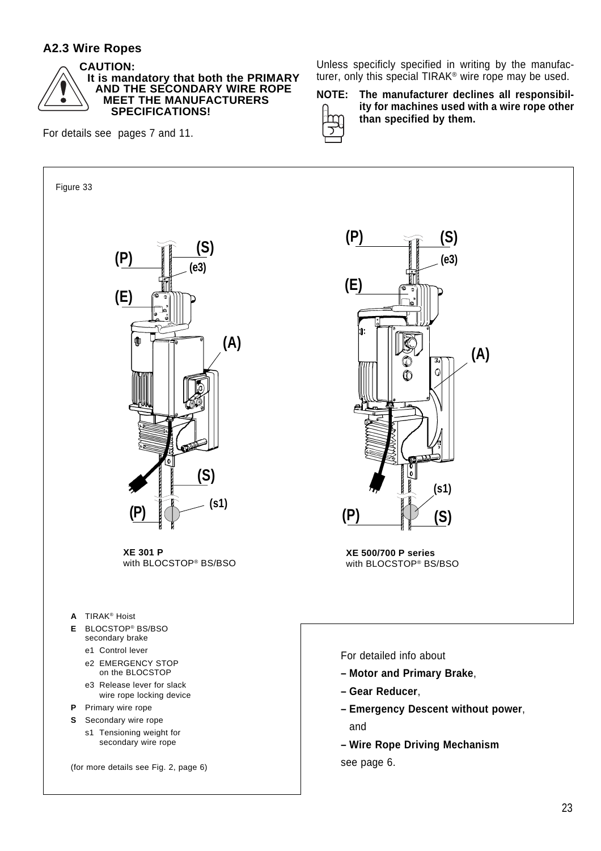### **A2.3 Wire Ropes**



**CAUTION: It is mandatory that both the PRIMARY AND THE SECONDARY WIRE ROPE MEET THE MANUFACTURERS SPECIFICATIONS!**

For details see pages 7 and 11.

Unless specificly specified in writing by the manufacturer, only this special TIRAK® wire rope may be used.

**NOTE: The manufacturer declines all responsibility for machines used with a wire rope other than specified by them.**

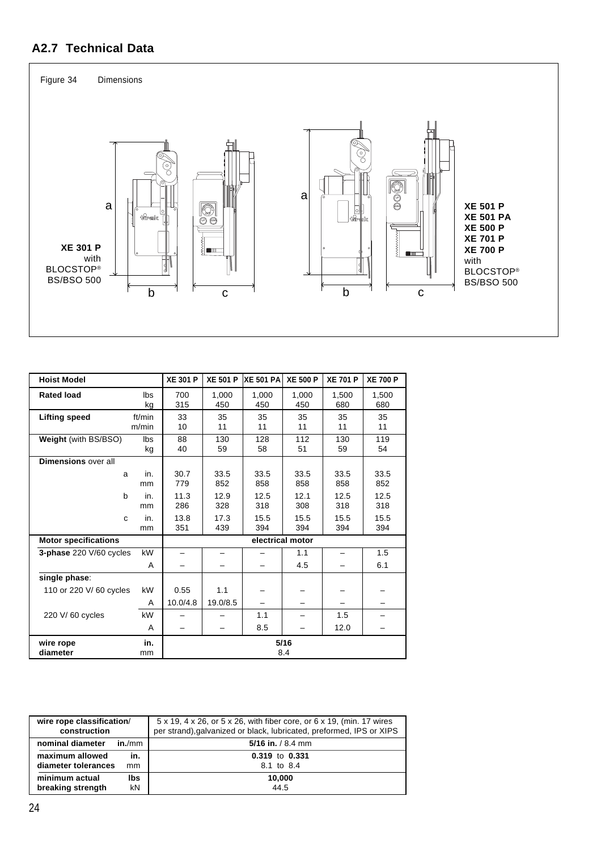# **A2.7 Technical Data**



| <b>Hoist Model</b>          |                 | <b>XE 301 P</b>          | <b>XE 501 P</b> | <b>XE 501 PA</b> | <b>XE 500 P</b> | <b>XE 701 P</b> | <b>XE 700 P</b> |
|-----------------------------|-----------------|--------------------------|-----------------|------------------|-----------------|-----------------|-----------------|
| <b>Rated load</b>           | lbs<br>kg       | 700<br>315               | 1,000<br>450    | 1,000<br>450     | 1,000<br>450    | 1,500<br>680    | 1,500<br>680    |
| <b>Lifting speed</b>        | ft/min<br>m/min | 33<br>10                 | 35<br>11        | 35<br>11         | 35<br>11        | 35<br>11        | 35<br>11        |
| Weight (with BS/BSO)        | lbs<br>kg       | 88<br>40                 | 130<br>59       | 128<br>58        | 112<br>51       | 130<br>59       | 119<br>54       |
| Dimensions over all         |                 |                          |                 |                  |                 |                 |                 |
| a                           | in.<br>mm       | 30.7<br>779              | 33.5<br>852     | 33.5<br>858      | 33.5<br>858     | 33.5<br>858     | 33.5<br>852     |
| b                           | in.<br>mm       | 11.3<br>286              | 12.9<br>328     | 12.5<br>318      | 12.1<br>308     | 12.5<br>318     | 12.5<br>318     |
| C                           | in.<br>mm       | 13.8<br>351              | 17.3<br>439     | 15.5<br>394      | 15.5<br>394     | 15.5<br>394     | 15.5<br>394     |
| <b>Motor specifications</b> |                 | electrical motor         |                 |                  |                 |                 |                 |
| 3-phase 220 V/60 cycles     | kW              | $\overline{\phantom{0}}$ |                 |                  | 1.1             |                 | 1.5             |
|                             | A               |                          |                 |                  | 4.5             |                 | 6.1             |
| single phase:               |                 |                          |                 |                  |                 |                 |                 |
| 110 or 220 V/60 cycles      | kW              | 0.55                     | 1.1             |                  |                 |                 |                 |
|                             | A               | 10.0/4.8                 | 19.0/8.5        |                  |                 |                 |                 |
| 220 V/60 cycles             | kW              |                          |                 | 1.1              |                 | 1.5             |                 |
|                             | A               |                          |                 | 8.5              |                 | 12.0            |                 |
| wire rope<br>diameter       | in.<br>mm       | 5/16<br>8.4              |                 |                  |                 |                 |                 |

| wire rope classification/<br>construction | 5 x 19, 4 x 26, or 5 x 26, with fiber core, or 6 x 19, (min. 17 wires<br>per strand), galvanized or black, lubricated, preformed, IPS or XIPS |  |  |  |
|-------------------------------------------|-----------------------------------------------------------------------------------------------------------------------------------------------|--|--|--|
| nominal diameter<br>in./mm                | 5/16 in. $/ 8.4$ mm                                                                                                                           |  |  |  |
| maximum allowed<br>in.                    | 0.319 to 0.331                                                                                                                                |  |  |  |
| diameter tolerances<br>mm                 | 8.1 to 8.4                                                                                                                                    |  |  |  |
| minimum actual<br>lbs                     | 10,000                                                                                                                                        |  |  |  |
| breaking strength<br>kN                   | 44.5                                                                                                                                          |  |  |  |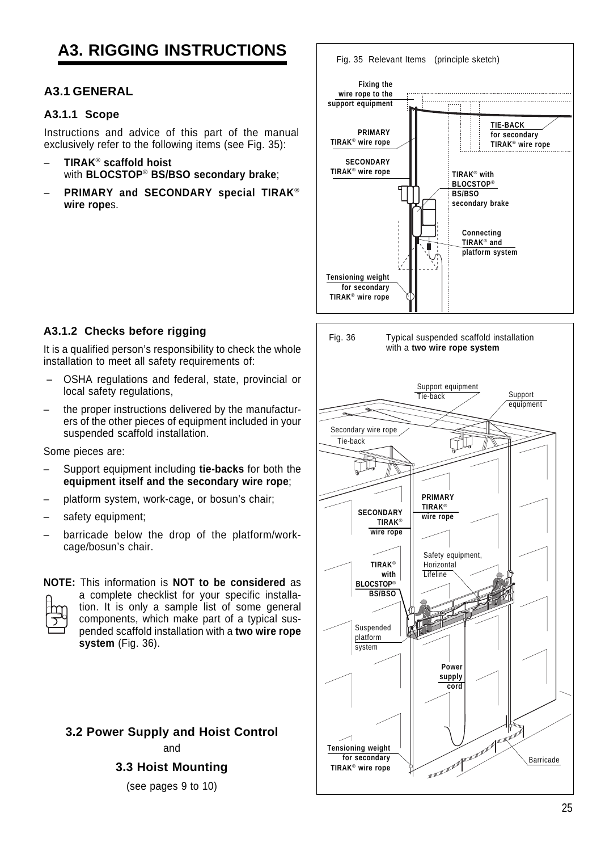# **A3. RIGGING INSTRUCTIONS**

### **A3.1 GENERAL**

#### **A3.1.1 Scope**

Instructions and advice of this part of the manual exclusively refer to the following items (see Fig. 35):

- **TIRAK**® **scaffold hoist** with **BLOCSTOP**® **BS/BSO secondary brake**;
- **PRIMARY and SECONDARY special TIRAK**® **wire rope**s.



### **A3.1.2 Checks before rigging**

It is a qualified person's responsibility to check the whole installation to meet all safety requirements of:

- OSHA regulations and federal, state, provincial or local safety regulations,
- the proper instructions delivered by the manufacturers of the other pieces of equipment included in your suspended scaffold installation.

Some pieces are:

- Support equipment including **tie-backs** for both the **equipment itself and the secondary wire rope**;
- platform system, work-cage, or bosun's chair;
- safety equipment;
- barricade below the drop of the platform/workcage/bosun's chair.

#### **NOTE:** This information is **NOT to be considered** as



a complete checklist for your specific installation. It is only a sample list of some general components, which make part of a typical suspended scaffold installation with a **two wire rope system** (Fig. 36).

### **3.2 Power Supply and Hoist Control** and

**3.3 Hoist Mounting**

(see pages 9 to 10)

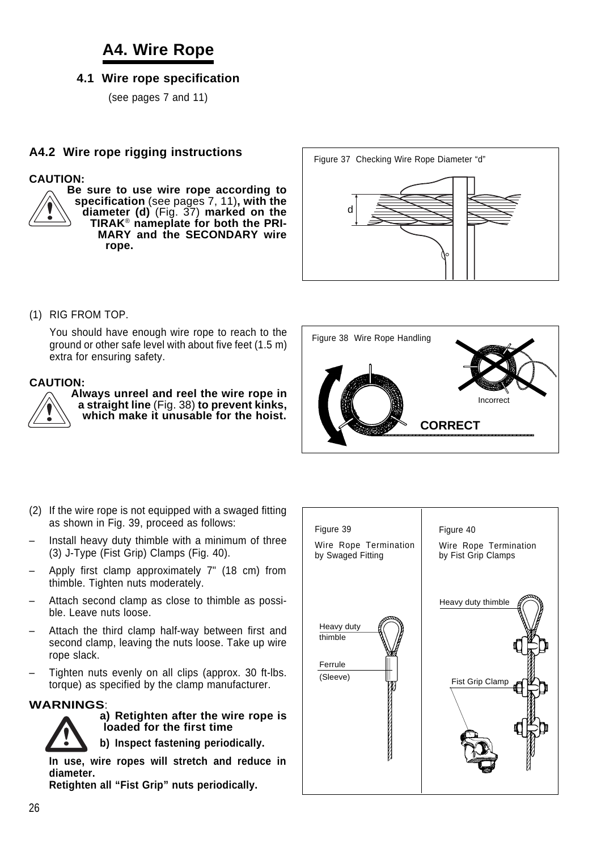# **A4. Wire Rope**

### **4.1 Wire rope specification**

(see pages 7 and 11)

### **A4.2 Wire rope rigging instructions**

#### **CAUTION:**

**Be sure to use wire rope according to specification** (see pages 7, 11)**, with the diameter (d)** (Fig. 37) **marked on the TIRAK**® **nameplate for both the PRI-MARY and the SECONDARY wire rope.**



(1) RIG FROM TOP.

You should have enough wire rope to reach to the ground or other safe level with about five feet (1.5 m) extra for ensuring safety.

#### **CAUTION:**



**Always unreel and reel the wire rope in a straight line** (Fig. 38) **to prevent kinks, which make it unusable for the hoist.**



- (2) If the wire rope is not equipped with a swaged fitting as shown in Fig. 39, proceed as follows:
- Install heavy duty thimble with a minimum of three (3) J-Type (Fist Grip) Clamps (Fig. 40).
- Apply first clamp approximately 7" (18 cm) from thimble. Tighten nuts moderately.
- Attach second clamp as close to thimble as possible. Leave nuts loose.
- Attach the third clamp half-way between first and second clamp, leaving the nuts loose. Take up wire rope slack.
- Tighten nuts evenly on all clips (approx. 30 ft-lbs. torque) as specified by the clamp manufacturer.

#### **WARNINGS**:



#### **a) Retighten after the wire rope is loaded for the first time**

**b) Inspect fastening periodically.**

**In use, wire ropes will stretch and reduce in diameter.**

**Retighten all "Fist Grip" nuts periodically.**

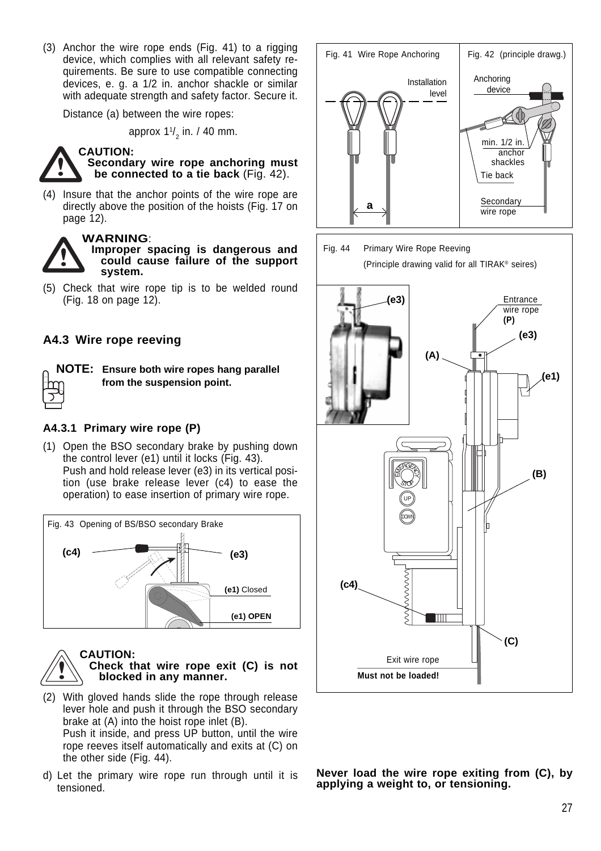(3) Anchor the wire rope ends (Fig. 41) to a rigging device, which complies with all relevant safety requirements. Be sure to use compatible connecting devices, e. g. a 1/2 in. anchor shackle or similar with adequate strength and safety factor. Secure it.

Distance (a) between the wire ropes:

approx 1 $\frac{1}{2}$  in. / 40 mm.



**Secondary wire rope anchoring must be connected to a tie back** (Fig. 42).

(4) Insure that the anchor points of the wire rope are directly above the position of the hoists (Fig. 17 on page 12).



**WARNING**:

**Improper spacing is dangerous and could cause failure of the support system.**

(5) Check that wire rope tip is to be welded round (Fig. 18 on page 12).

### **A4.3 Wire rope reeving**



**NOTE: Ensure both wire ropes hang parallel from the suspension point.**

#### **A4.3.1 Primary wire rope (P)**

(1) Open the BSO secondary brake by pushing down the control lever (e1) until it locks (Fig. 43). Push and hold release lever (e3) in its vertical position (use brake release lever (c4) to ease the operation) to ease insertion of primary wire rope.





#### **CAUTION: Check that wire rope exit (C) is not blocked in any manner.**

- (2) With gloved hands slide the rope through release lever hole and push it through the BSO secondary brake at (A) into the hoist rope inlet (B). Push it inside, and press UP button, until the wire rope reeves itself automatically and exits at (C) on the other side (Fig. 44).
- d) Let the primary wire rope run through until it is tensioned.





**Never load the wire rope exiting from (C), by applying a weight to, or tensioning.**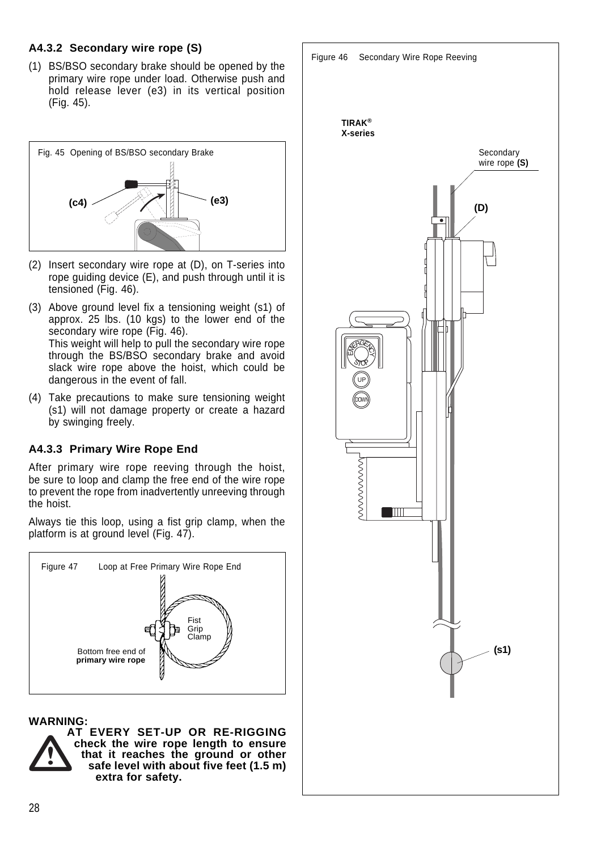### **A4.3.2 Secondary wire rope (S)**

(1) BS/BSO secondary brake should be opened by the primary wire rope under load. Otherwise push and hold release lever (e3) in its vertical position (Fig. 45).



- (2) Insert secondary wire rope at (D), on T-series into rope guiding device (E), and push through until it is tensioned (Fig. 46).
- (3) Above ground level fix a tensioning weight (s1) of approx. 25 lbs. (10 kgs) to the lower end of the secondary wire rope (Fig. 46). This weight will help to pull the secondary wire rope through the BS/BSO secondary brake and avoid slack wire rope above the hoist, which could be dangerous in the event of fall.
- (4) Take precautions to make sure tensioning weight (s1) will not damage property or create a hazard by swinging freely.

# **A4.3.3 Primary Wire Rope End**

After primary wire rope reeving through the hoist, be sure to loop and clamp the free end of the wire rope to prevent the rope from inadvertently unreeving through the hoist.

Always tie this loop, using a fist grip clamp, when the platform is at ground level (Fig. 47).



### **WARNING:**



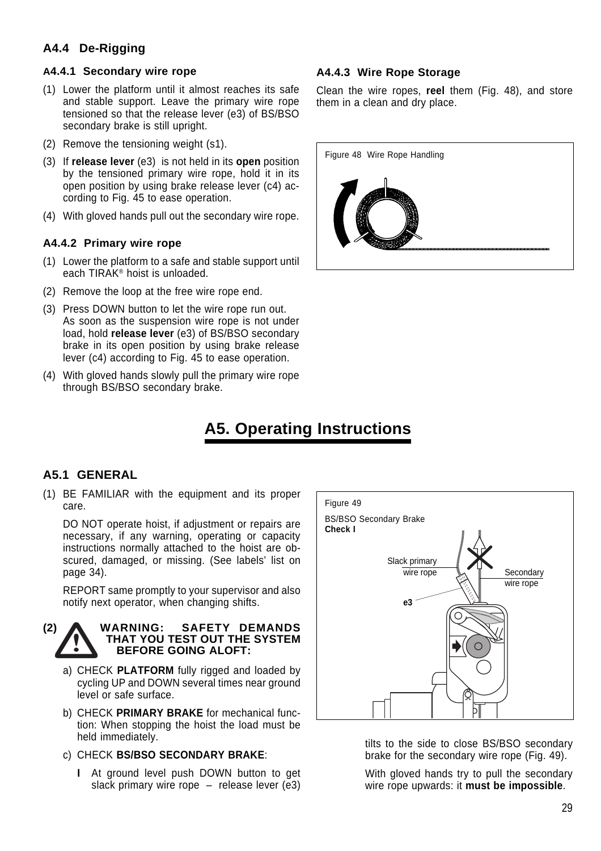# **A4.4 De-Rigging**

#### **A4.4.1 Secondary wire rope**

- (1) Lower the platform until it almost reaches its safe and stable support. Leave the primary wire rope tensioned so that the release lever (e3) of BS/BSO secondary brake is still upright.
- (2) Remove the tensioning weight (s1).
- (3) If **release lever** (e3) is not held in its **open** position by the tensioned primary wire rope, hold it in its open position by using brake release lever (c4) according to Fig. 45 to ease operation.
- (4) With gloved hands pull out the secondary wire rope.

#### **A4.4.2 Primary wire rope**

- (1) Lower the platform to a safe and stable support until each TIRAK® hoist is unloaded.
- (2) Remove the loop at the free wire rope end.
- (3) Press DOWN button to let the wire rope run out. As soon as the suspension wire rope is not under load, hold **release lever** (e3) of BS/BSO secondary brake in its open position by using brake release lever (c4) according to Fig. 45 to ease operation.
- (4) With gloved hands slowly pull the primary wire rope through BS/BSO secondary brake.

#### **A4.4.3 Wire Rope Storage**

Clean the wire ropes, **reel** them (Fig. 48), and store them in a clean and dry place.



# **A5. Operating Instructions**

### **A5.1 GENERAL**

(1) BE FAMILIAR with the equipment and its proper care.

DO NOT operate hoist, if adjustment or repairs are necessary, if any warning, operating or capacity instructions normally attached to the hoist are obscured, damaged, or missing. (See labels' list on page 34).

REPORT same promptly to your supervisor and also notify next operator, when changing shifts.



- a) CHECK **PLATFORM** fully rigged and loaded by cycling UP and DOWN several times near ground level or safe surface.
- b) CHECK **PRIMARY BRAKE** for mechanical function: When stopping the hoist the load must be held immediately.
- c) CHECK **BS/BSO SECONDARY BRAKE**:
	- **I** At ground level push DOWN button to get slack primary wire rope – release lever (e3)



tilts to the side to close BS/BSO secondary brake for the secondary wire rope (Fig. 49).

With gloved hands try to pull the secondary wire rope upwards: it **must be impossible**.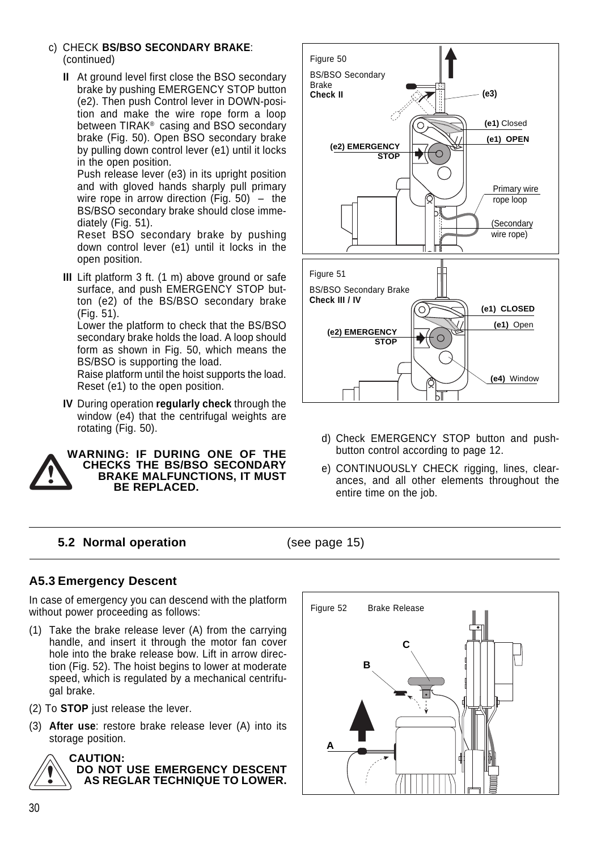- c) CHECK **BS/BSO SECONDARY BRAKE**: (continued)
	- **II** At ground level first close the BSO secondary brake by pushing EMERGENCY STOP button (e2). Then push Control lever in DOWN-position and make the wire rope form a loop between TIRAK® casing and BSO secondary brake (Fig. 50). Open BSO secondary brake by pulling down control lever (e1) until it locks in the open position.

Push release lever (e3) in its upright position and with gloved hands sharply pull primary wire rope in arrow direction (Fig.  $50$ ) – the BS/BSO secondary brake should close immediately (Fig. 51).

Reset BSO secondary brake by pushing down control lever (e1) until it locks in the open position.

**III** Lift platform 3 ft. (1 m) above ground or safe surface, and push EMERGENCY STOP button (e2) of the BS/BSO secondary brake (Fig. 51).

Lower the platform to check that the BS/BSO secondary brake holds the load. A loop should form as shown in Fig. 50, which means the BS/BSO is supporting the load.

Raise platform until the hoist supports the load. Reset (e1) to the open position.

**IV** During operation **regularly check** through the window (e4) that the centrifugal weights are rotating (Fig. 50).



**WARNING: IF DURING ONE OF THE CHECKS THE BS/BSO SECONDARY BRAKE MALFUNCTIONS, IT MUST BE REPLACED.**



- d) Check EMERGENCY STOP button and pushbutton control according to page 12.
- e) CONTINUOUSLY CHECK rigging, lines, clearances, and all other elements throughout the entire time on the job.

### **5.2 Normal operation** (see page 15)

# **A5.3 Emergency Descent**

In case of emergency you can descend with the platform without power proceeding as follows:

- (1) Take the brake release lever (A) from the carrying handle, and insert it through the motor fan cover hole into the brake release bow. Lift in arrow direction (Fig. 52). The hoist begins to lower at moderate speed, which is regulated by a mechanical centrifugal brake.
- (2) To **STOP** just release the lever.
- (3) **After use**: restore brake release lever (A) into its storage position.



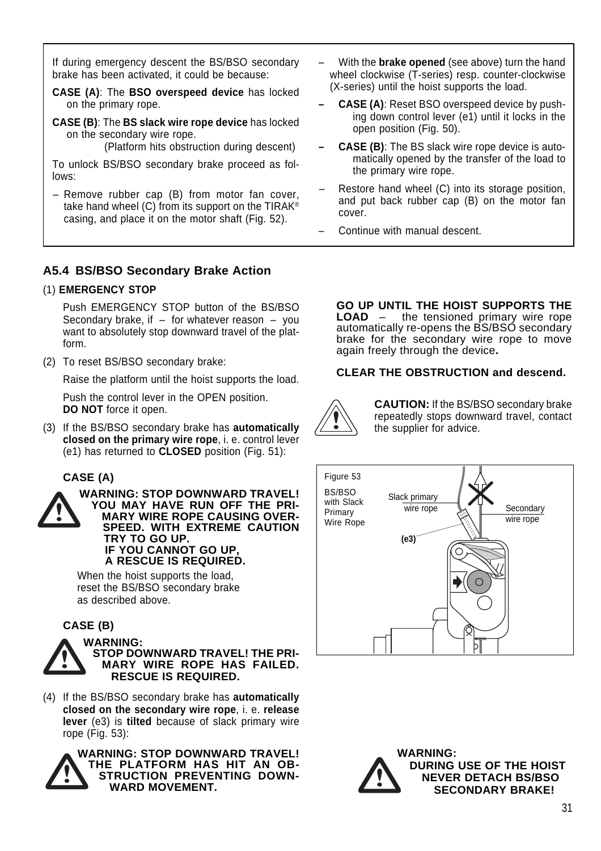If during emergency descent the BS/BSO secondary brake has been activated, it could be because:

**CASE (A)**: The **BSO overspeed device** has locked on the primary rope.

**CASE (B)**: The **BS slack wire rope device** has locked on the secondary wire rope.

(Platform hits obstruction during descent)

To unlock BS/BSO secondary brake proceed as follows:

– Remove rubber cap (B) from motor fan cover, take hand wheel (C) from its support on the TIRAK® casing, and place it on the motor shaft (Fig. 52).

- With the **brake opened** (see above) turn the hand wheel clockwise (T-series) resp. counter-clockwise (X-series) until the hoist supports the load.
- **CASE (A)**: Reset BSO overspeed device by pushing down control lever (e1) until it locks in the open position (Fig. 50).
- **CASE (B)**: The BS slack wire rope device is automatically opened by the transfer of the load to the primary wire rope.
- Restore hand wheel (C) into its storage position, and put back rubber cap (B) on the motor fan cover.
- Continue with manual descent.

# **A5.4 BS/BSO Secondary Brake Action**

### (1) **EMERGENCY STOP**

Push EMERGENCY STOP button of the BS/BSO Secondary brake, if  $-$  for whatever reason  $-$  you want to absolutely stop downward travel of the platform.

(2) To reset BS/BSO secondary brake:

Raise the platform until the hoist supports the load.

Push the control lever in the OPEN position. **DO NOT** force it open.

(3) If the BS/BSO secondary brake has **automatically closed on the primary wire rope**, i. e. control lever (e1) has returned to **CLOSED** position (Fig. 51):

### **CASE (A)**



**WARNING: STOP DOWNWARD TRAVEL! YOU MAY HAVE RUN OFF THE PRI-MARY WIRE ROPE CAUSING OVER-SPEED. WITH EXTREME CAUTION TRY TO GO UP. IF YOU CANNOT GO UP, A RESCUE IS REQUIRED.**

When the hoist supports the load, reset the BS/BSO secondary brake as described above.

### **CASE (B)**



**WARNING: STOP DOWNWARD TRAVEL! THE PRI-MARY WIRE ROPE HAS FAILED. RESCUE IS REQUIRED.**

(4) If the BS/BSO secondary brake has **automatically closed on the secondary wire rope**, i. e. **release lever** (e3) is **tilted** because of slack primary wire rope (Fig. 53):



**WARNING: STOP DOWNWARD TRAVEL! THE PLATFORM HAS HIT AN OB-STRUCTION PREVENTING DOWN-WARD MOVEMENT.**

**GO UP UNTIL THE HOIST SUPPORTS THE**<br>**LOAD** - the tensioned primary wire rope  $-$  the tensioned primary wire rope automatically re-opens the BS/BSO secondary brake for the secondary wire rope to move again freely through the device**.**

### **CLEAR THE OBSTRUCTION and descend.**



**CAUTION:** If the BS/BSO secondary brake repeatedly stops downward travel, contact the supplier for advice.



**WARNING: DURING USE OF THE HOIST NEVER DETACH BS/BSO SECONDARY BRAKE!**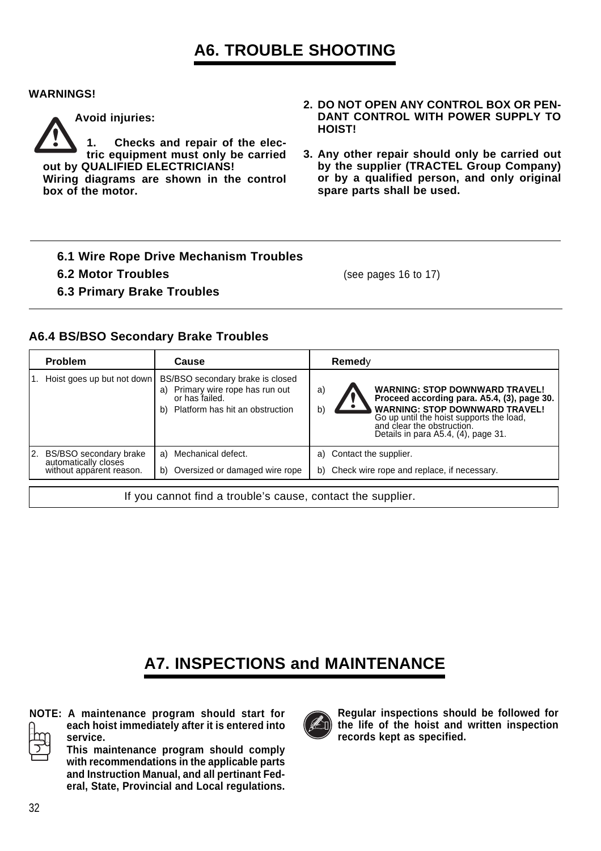# **A6. TROUBLE SHOOTING**

#### **WARNINGS!**



**Avoid injuries:**

**1. Checks and repair of the electric equipment must only be carried out by QUALIFIED ELECTRICIANS! Wiring diagrams are shown in the control**

**box of the motor.**

- **2. DO NOT OPEN ANY CONTROL BOX OR PEN-DANT CONTROL WITH POWER SUPPLY TO HOIST!**
- **3. Any other repair should only be carried out by the supplier (TRACTEL Group Company) or by a qualified person, and only original spare parts shall be used.**
- **6.1 Wire Rope Drive Mechanism Troubles**
- **6.2 Motor Troubles** (see pages 16 to 17)
- **6.3 Primary Brake Troubles**

### **A6.4 BS/BSO Secondary Brake Troubles**

|    | <b>Problem</b>                                                             | Cause                                                                                                                        |          | Remedy                   |                                                                                                                                                                                                                                                |  |
|----|----------------------------------------------------------------------------|------------------------------------------------------------------------------------------------------------------------------|----------|--------------------------|------------------------------------------------------------------------------------------------------------------------------------------------------------------------------------------------------------------------------------------------|--|
|    | Hoist goes up but not down                                                 | BS/BSO secondary brake is closed<br>a) Primary wire rope has run out<br>or has failed.<br>b) Platform has hit an obstruction | a)<br>b) |                          | <b>WARNING: STOP DOWNWARD TRAVEL!</b><br>Proceed according para. A5.4, (3), page 30.<br><b>WARNING: STOP DOWNWARD TRAVEL!</b><br>Go up until the hoist supports the load,<br>and clear the obstruction.<br>Details in para A5.4, (4), page 31. |  |
| 2. | BS/BSO secondary brake<br>automatically closes<br>without apparent reason. | a) Mechanical defect.<br>b) Oversized or damaged wire rope                                                                   |          | a) Contact the supplier. | b) Check wire rope and replace, if necessary.                                                                                                                                                                                                  |  |
|    | If you cannot find a trouble's cause, contact the supplier.                |                                                                                                                              |          |                          |                                                                                                                                                                                                                                                |  |

# **A7. INSPECTIONS and MAINTENANCE**



**NOTE: A maintenance program should start for each hoist immediately after it is entered into service.**

**This maintenance program should comply with recommendations in the applicable parts and Instruction Manual, and all pertinant Federal, State, Provincial and Local regulations.**



**Regular inspections should be followed for the life of the hoist and written inspection records kept as specified.**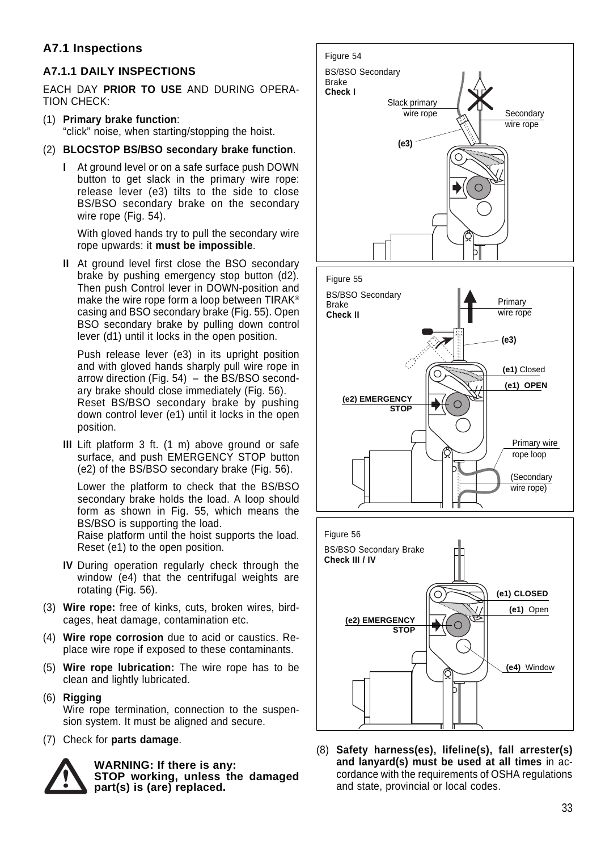# **A7.1 Inspections**

### **A7.1.1 DAILY INSPECTIONS**

EACH DAY **PRIOR TO USE** AND DURING OPERA-TION CHECK:

(1) **Primary brake function**:

"click" noise, when starting/stopping the hoist.

- (2) **BLOCSTOP BS/BSO secondary brake function**.
	- **I** At ground level or on a safe surface push DOWN button to get slack in the primary wire rope: release lever (e3) tilts to the side to close BS/BSO secondary brake on the secondary wire rope (Fig. 54).

With gloved hands try to pull the secondary wire rope upwards: it **must be impossible**.

**II** At ground level first close the BSO secondary brake by pushing emergency stop button (d2). Then push Control lever in DOWN-position and make the wire rope form a loop between TIRAK® casing and BSO secondary brake (Fig. 55). Open BSO secondary brake by pulling down control lever (d1) until it locks in the open position.

Push release lever (e3) in its upright position and with gloved hands sharply pull wire rope in arrow direction (Fig. 54) – the BS/BSO secondary brake should close immediately (Fig. 56). Reset BS/BSO secondary brake by pushing down control lever (e1) until it locks in the open position.

**III** Lift platform 3 ft. (1 m) above ground or safe surface, and push EMERGENCY STOP button (e2) of the BS/BSO secondary brake (Fig. 56).

Lower the platform to check that the BS/BSO secondary brake holds the load. A loop should form as shown in Fig. 55, which means the BS/BSO is supporting the load. Raise platform until the hoist supports the load. Reset (e1) to the open position.

- **IV** During operation regularly check through the window (e4) that the centrifugal weights are rotating (Fig. 56).
- (3) **Wire rope:** free of kinks, cuts, broken wires, birdcages, heat damage, contamination etc.
- (4) **Wire rope corrosion** due to acid or caustics. Replace wire rope if exposed to these contaminants.
- (5) **Wire rope lubrication:** The wire rope has to be clean and lightly lubricated.
- (6) **Rigging** Wire rope termination, connection to the suspension system. It must be aligned and secure.
- (7) Check for **parts damage**.



**WARNING: If there is any: STOP working, unless the damaged part(s) is (are) replaced.**



(8) **Safety harness(es), lifeline(s), fall arrester(s) and lanyard(s) must be used at all times** in accordance with the requirements of OSHA regulations and state, provincial or local codes.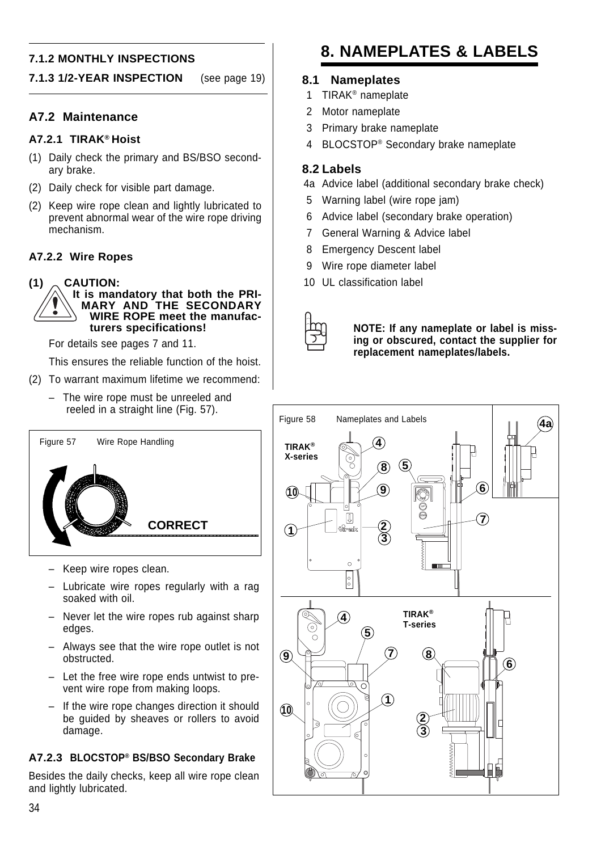### **7.1.2 MONTHLY INSPECTIONS**

#### **7.1.3 1/2-YEAR INSPECTION** (see page 19)

#### **A7.2 Maintenance**

#### **A7.2.1 TIRAK® Hoist**

- (1) Daily check the primary and BS/BSO secondary brake.
- (2) Daily check for visible part damage.
- (2) Keep wire rope clean and lightly lubricated to prevent abnormal wear of the wire rope driving mechanism.

#### **A7.2.2 Wire Ropes**

**(1) CAUTION:**



For details see pages 7 and 11.

This ensures the reliable function of the hoist.

- (2) To warrant maximum lifetime we recommend:
	- The wire rope must be unreeled and reeled in a straight line (Fig. 57).



- Keep wire ropes clean.
- Lubricate wire ropes regularly with a rag soaked with oil.
- Never let the wire ropes rub against sharp edges.
- Always see that the wire rope outlet is not obstructed.
- Let the free wire rope ends untwist to prevent wire rope from making loops.
- If the wire rope changes direction it should be guided by sheaves or rollers to avoid damage.

#### **A7.2.3 BLOCSTOP® BS/BSO Secondary Brake**

Besides the daily checks, keep all wire rope clean and lightly lubricated.

# **8. NAMEPLATES & LABELS**

#### **8.1 Nameplates**

- 1 TIRAK® nameplate
- 2 Motor nameplate
- 3 Primary brake nameplate
- 4 BLOCSTOP® Secondary brake nameplate

#### **8.2 Labels**

- 4a Advice label (additional secondary brake check)
- 5 Warning label (wire rope jam)
- 6 Advice label (secondary brake operation)
- 7 General Warning & Advice label
- 8 Emergency Descent label
- 9 Wire rope diameter label
- 10 UL classification label



**NOTE: If any nameplate or label is missing or obscured, contact the supplier for replacement nameplates/labels.**

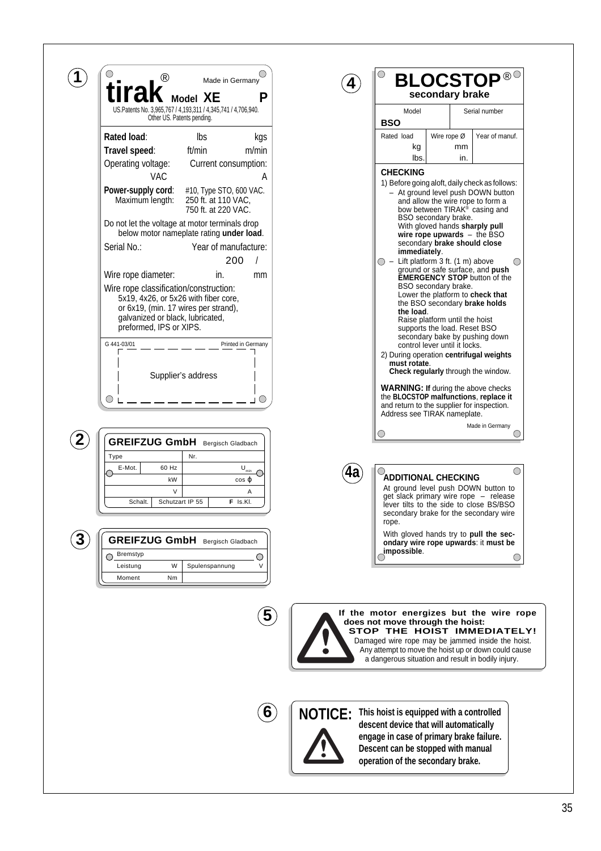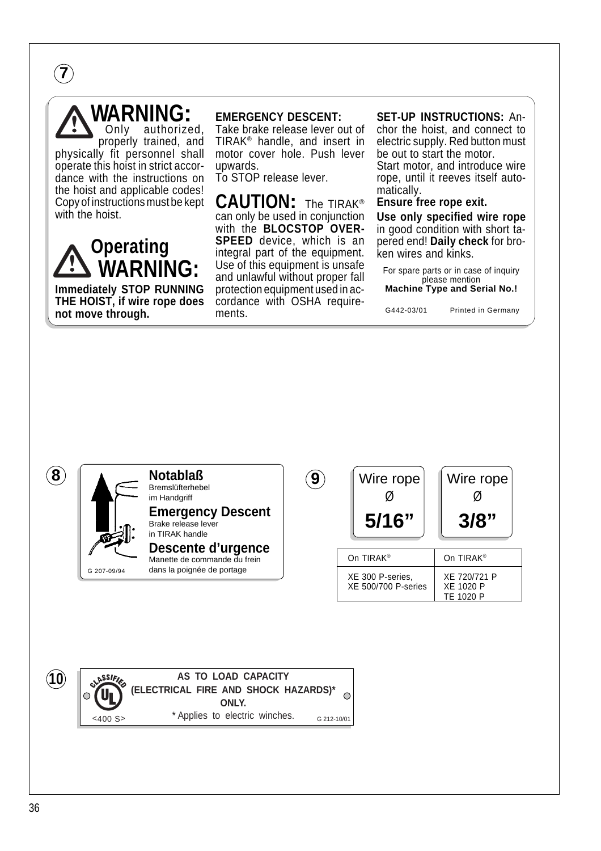**7**

# WARNING:

authorized. properly trained, and physically fit personnel shall operate this hoist in strict accordance with the instructions on the hoist and applicable codes! Copy of instructions must be kept with the hoist.



**Immediately STOP RUNNING THE HOIST, if wire rope does not move through.**

#### **EMERGENCY DESCENT:**

Take brake release lever out of TIRAK® handle, and insert in motor cover hole. Push lever upwards.

To STOP release lever.

**CAUTION:** The TIRAK® can only be used in conjunction with the **BLOCSTOP OVER-SPEED** device, which is an integral part of the equipment. Use of this equipment is unsafe and unlawful without proper fall protection equipment used in accordance with OSHA requirements.

#### **SET-UP INSTRUCTIONS:** An-

chor the hoist, and connect to electric supply. Red button must be out to start the motor. Start motor, and introduce wire rope, until it reeves itself automatically.

#### **Ensure free rope exit.**

**Use only specified wire rope** in good condition with short tapered end! **Daily check** for broken wires and kinks.

For spare parts or in case of inquiry please mention **Machine Type and Serial No.!**

G442-03/01 Printed in Germany





G 207-09/94

#### **Notablaß** Bremslüfterhebel im Handgriff **Emergency Descent** Brake release lever **8** Wire rope Notablaß (9) Wire rope Wire rope

in TIRAK handle









| On TIRAK <sup>®</sup>                          | On TIRAK <sup>®</sup>                  |
|------------------------------------------------|----------------------------------------|
| XE 300 P-series.<br><b>XE 500/700 P-series</b> | XF 720/721 P<br>XE 1020 P<br>TF 1020 P |

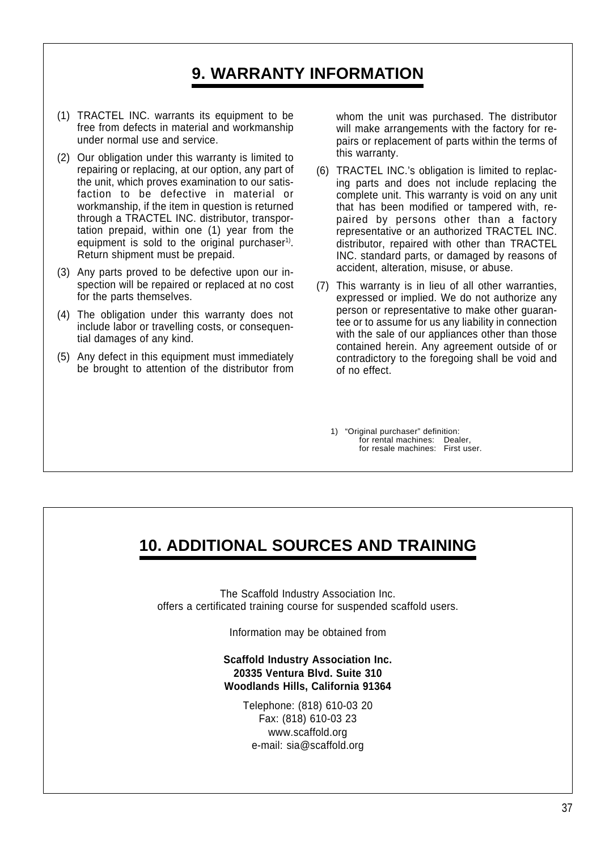# **9. WARRANTY INFORMATION**

- (1) TRACTEL INC. warrants its equipment to be free from defects in material and workmanship under normal use and service.
- (2) Our obligation under this warranty is limited to repairing or replacing, at our option, any part of the unit, which proves examination to our satisfaction to be defective in material or workmanship, if the item in question is returned through a TRACTEL INC. distributor, transportation prepaid, within one (1) year from the equipment is sold to the original purchaser<sup>1)</sup>. Return shipment must be prepaid.
- (3) Any parts proved to be defective upon our inspection will be repaired or replaced at no cost for the parts themselves.
- (4) The obligation under this warranty does not include labor or travelling costs, or consequential damages of any kind.
- (5) Any defect in this equipment must immediately be brought to attention of the distributor from

whom the unit was purchased. The distributor will make arrangements with the factory for repairs or replacement of parts within the terms of this warranty.

- (6) TRACTEL INC.'s obligation is limited to replacing parts and does not include replacing the complete unit. This warranty is void on any unit that has been modified or tampered with, repaired by persons other than a factory representative or an authorized TRACTEL INC. distributor, repaired with other than TRACTEL INC. standard parts, or damaged by reasons of accident, alteration, misuse, or abuse.
- (7) This warranty is in lieu of all other warranties, expressed or implied. We do not authorize any person or representative to make other guarantee or to assume for us any liability in connection with the sale of our appliances other than those contained herein. Any agreement outside of or contradictory to the foregoing shall be void and of no effect.

1) "Original purchaser" definition: for rental machines: Dealer, for resale machines: First user.

# **10. ADDITIONAL SOURCES AND TRAINING**

The Scaffold Industry Association Inc. offers a certificated training course for suspended scaffold users.

Information may be obtained from

**Scaffold Industry Association Inc. 20335 Ventura Blvd. Suite 310 Woodlands Hills, California 91364**

> Telephone: (818) 610-03 20 Fax: (818) 610-03 23 www.scaffold.org e-mail: sia@scaffold.org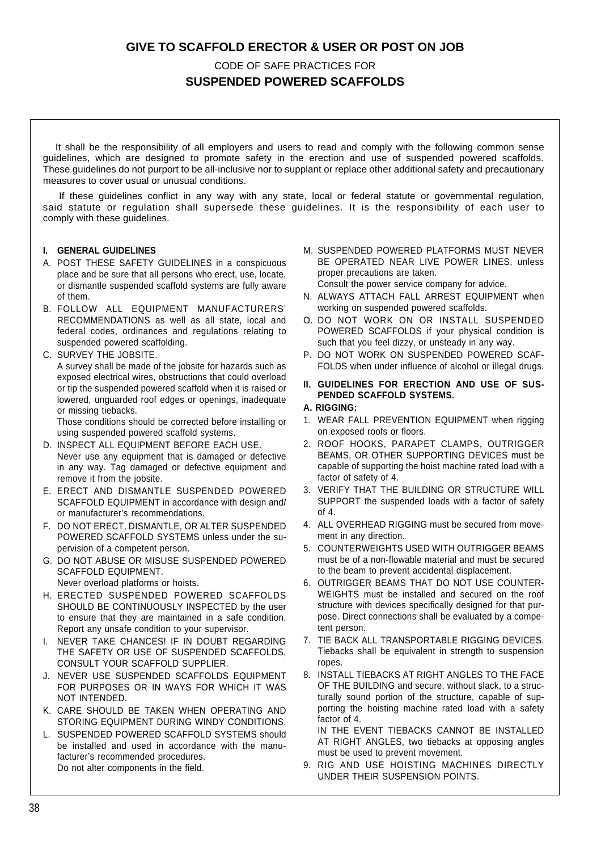### **GIVE TO SCAFFOLD ERECTOR & USER OR POST ON JOB**

### CODE OF SAFE PRACTICES FOR **SUSPENDED POWERED SCAFFOLDS**

 It shall be the responsibility of all employers and users to read and comply with the following common sense guidelines, which are designed to promote safety in the erection and use of suspended powered scaffolds. These guidelines do not purport to be all-inclusive nor to supplant or replace other additional safety and precautionary measures to cover usual or unusual conditions.

 If these guidelines conflict in any way with any state, local or federal statute or governmental regulation, said statute or regulation shall supersede these guidelines. It is the responsibility of each user to comply with these guidelines.

#### **I. GENERAL GUIDELINES**

- A. POST THESE SAFETY GUIDELINES in a conspicuous place and be sure that all persons who erect, use, locate, or dismantle suspended scaffold systems are fully aware of them.
- B. FOLLOW ALL EQUIPMENT MANUFACTURERS' RECOMMENDATIONS as well as all state, local and federal codes, ordinances and regulations relating to suspended powered scaffolding.
- C. SURVEY THE JOBSITE.

A survey shall be made of the jobsite for hazards such as exposed electrical wires, obstructions that could overload or tip the suspended powered scaffold when it is raised or lowered, unguarded roof edges or openings, inadequate or missing tiebacks.

Those conditions should be corrected before installing or using suspended powered scaffold systems.

- D. INSPECT ALL EQUIPMENT BEFORE EACH USE. Never use any equipment that is damaged or defective in any way. Tag damaged or defective equipment and remove it from the jobsite.
- E. ERECT AND DISMANTLE SUSPENDED POWERED SCAFFOLD EQUIPMENT in accordance with design and/ or manufacturer's recommendations.
- F. DO NOT ERECT, DISMANTLE, OR ALTER SUSPENDED POWERED SCAFFOLD SYSTEMS unless under the supervision of a competent person.
- G. DO NOT ABUSE OR MISUSE SUSPENDED POWERED SCAFFOLD EQUIPMENT.

Never overload platforms or hoists.

- H. ERECTED SUSPENDED POWERED SCAFFOLDS SHOULD BE CONTINUOUSLY INSPECTED by the user to ensure that they are maintained in a safe condition. Report any unsafe condition to your supervisor.
- I. NEVER TAKE CHANCES! IF IN DOUBT REGARDING THE SAFETY OR USE OF SUSPENDED SCAFFOLDS, CONSULT YOUR SCAFFOLD SUPPLIER.
- J. NEVER USE SUSPENDED SCAFFOLDS EQUIPMENT FOR PURPOSES OR IN WAYS FOR WHICH IT WAS NOT INTENDED.
- K. CARE SHOULD BE TAKEN WHEN OPERATING AND STORING EQUIPMENT DURING WINDY CONDITIONS.
- L. SUSPENDED POWERED SCAFFOLD SYSTEMS should be installed and used in accordance with the manufacturer's recommended procedures. Do not alter components in the field.
- M. SUSPENDED POWERED PLATFORMS MUST NEVER BE OPERATED NEAR LIVE POWER LINES, unless proper precautions are taken. Consult the power service company for advice.
- N. ALWAYS ATTACH FALL ARREST EQUIPMENT when working on suspended powered scaffolds.
- O. DO NOT WORK ON OR INSTALL SUSPENDED POWERED SCAFFOLDS if your physical condition is such that you feel dizzy, or unsteady in any way.
- P. DO NOT WORK ON SUSPENDED POWERED SCAF-FOLDS when under influence of alcohol or illegal drugs.
- **II. GUIDELINES FOR ERECTION AND USE OF SUS-PENDED SCAFFOLD SYSTEMS.**

#### **A. RIGGING:**

- 1. WEAR FALL PREVENTION EQUIPMENT when rigging on exposed roofs or floors.
- 2. ROOF HOOKS, PARAPET CLAMPS, OUTRIGGER BEAMS, OR OTHER SUPPORTING DEVICES must be capable of supporting the hoist machine rated load with a factor of safety of 4.
- 3. VERIFY THAT THE BUILDING OR STRUCTURE WILL SUPPORT the suspended loads with a factor of safety  $of 4$
- 4. ALL OVERHEAD RIGGING must be secured from movement in any direction.
- 5. COUNTERWEIGHTS USED WITH OUTRIGGER BEAMS must be of a non-flowable material and must be secured to the beam to prevent accidental displacement.
- 6. OUTRIGGER BEAMS THAT DO NOT USE COUNTER-WEIGHTS must be installed and secured on the roof structure with devices specifically designed for that purpose. Direct connections shall be evaluated by a competent person.
- 7. TIE BACK ALL TRANSPORTABLE RIGGING DEVICES. Tiebacks shall be equivalent in strength to suspension ropes.
- 8. INSTALL TIEBACKS AT RIGHT ANGLES TO THE FACE OF THE BUILDING and secure, without slack, to a structurally sound portion of the structure, capable of supporting the hoisting machine rated load with a safety factor of 4.

IN THE EVENT TIEBACKS CANNOT BE INSTALLED AT RIGHT ANGLES, two tiebacks at opposing angles must be used to prevent movement.

9. RIG AND USE HOISTING MACHINES DIRECTLY UNDER THEIR SUSPENSION POINTS.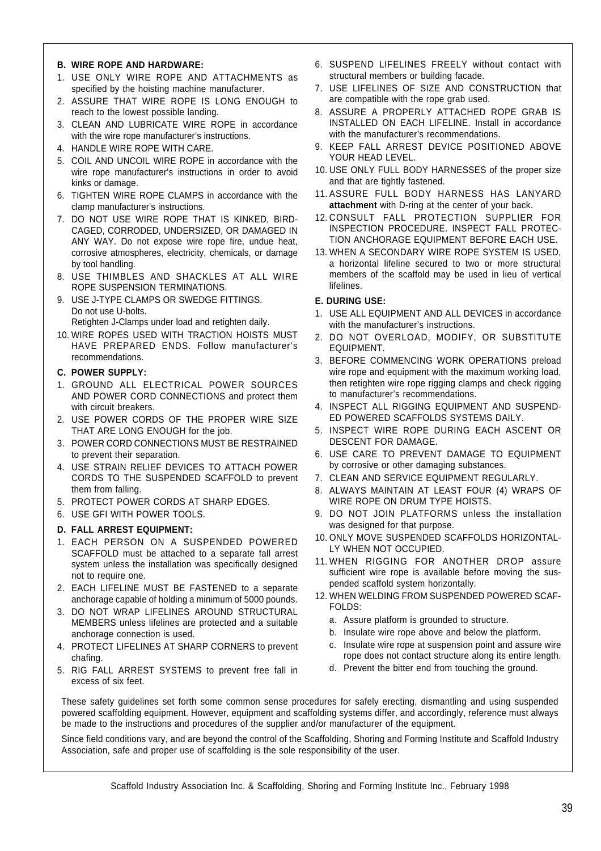#### **B. WIRE ROPE AND HARDWARE:**

- 1. USE ONLY WIRE ROPE AND ATTACHMENTS as specified by the hoisting machine manufacturer.
- 2. ASSURE THAT WIRE ROPE IS LONG ENOUGH to reach to the lowest possible landing.
- 3. CLEAN AND LUBRICATE WIRE ROPE in accordance with the wire rope manufacturer's instructions.
- 4. HANDLE WIRE ROPE WITH CARE.
- 5. COIL AND UNCOIL WIRE ROPE in accordance with the wire rope manufacturer's instructions in order to avoid kinks or damage.
- 6. TIGHTEN WIRE ROPE CLAMPS in accordance with the clamp manufacturer's instructions.
- 7. DO NOT USE WIRE ROPE THAT IS KINKED, BIRD-CAGED, CORRODED, UNDERSIZED, OR DAMAGED IN ANY WAY. Do not expose wire rope fire, undue heat, corrosive atmospheres, electricity, chemicals, or damage by tool handling.
- 8. USE THIMBLES AND SHACKLES AT ALL WIRE ROPE SUSPENSION TERMINATIONS.
- 9. USE J-TYPE CLAMPS OR SWEDGE FITTINGS. Do not use U-bolts.

Retighten J-Clamps under load and retighten daily.

10. WIRE ROPES USED WITH TRACTION HOISTS MUST HAVE PREPARED ENDS. Follow manufacturer's recommendations.

#### **C. POWER SUPPLY:**

- 1. GROUND ALL ELECTRICAL POWER SOURCES AND POWER CORD CONNECTIONS and protect them with circuit breakers.
- 2. USE POWER CORDS OF THE PROPER WIRE SIZE THAT ARE LONG ENOUGH for the job.
- 3. POWER CORD CONNECTIONS MUST BE RESTRAINED to prevent their separation.
- 4. USE STRAIN RELIEF DEVICES TO ATTACH POWER CORDS TO THE SUSPENDED SCAFFOLD to prevent them from falling.
- 5. PROTECT POWER CORDS AT SHARP EDGES.
- 6. USE GFI WITH POWER TOOLS.

#### **D. FALL ARREST EQUIPMENT:**

- 1. EACH PERSON ON A SUSPENDED POWERED SCAFFOLD must be attached to a separate fall arrest system unless the installation was specifically designed not to require one.
- 2. EACH LIFELINE MUST BE FASTENED to a separate anchorage capable of holding a minimum of 5000 pounds.
- 3. DO NOT WRAP LIFELINES AROUND STRUCTURAL MEMBERS unless lifelines are protected and a suitable anchorage connection is used.
- 4. PROTECT LIFELINES AT SHARP CORNERS to prevent chafing.
- 5. RIG FALL ARREST SYSTEMS to prevent free fall in excess of six feet.
- 6. SUSPEND LIFELINES FREELY without contact with structural members or building facade.
- 7. USE LIFELINES OF SIZE AND CONSTRUCTION that are compatible with the rope grab used.
- 8. ASSURE A PROPERLY ATTACHED ROPE GRAB IS INSTALLED ON EACH LIFELINE. Install in accordance with the manufacturer's recommendations.
- 9. KEEP FALL ARREST DEVICE POSITIONED ABOVE YOUR HEAD LEVEL.
- 10. USE ONLY FULL BODY HARNESSES of the proper size and that are tightly fastened.
- 11. ASSURE FULL BODY HARNESS HAS LANYARD **attachment** with D-ring at the center of your back.
- 12. CONSULT FALL PROTECTION SUPPLIER FOR INSPECTION PROCEDURE. INSPECT FALL PROTEC-TION ANCHORAGE EQUIPMENT BEFORE EACH USE.
- 13. WHEN A SECONDARY WIRE ROPE SYSTEM IS USED, a horizontal lifeline secured to two or more structural members of the scaffold may be used in lieu of vertical lifelines.

#### **E. DURING USE:**

- 1. USE ALL EQUIPMENT AND ALL DEVICES in accordance with the manufacturer's instructions.
- 2. DO NOT OVERLOAD, MODIFY, OR SUBSTlTUTE EQUIPMENT.
- 3. BEFORE COMMENCING WORK OPERATIONS preload wire rope and equipment with the maximum working load. then retighten wire rope rigging clamps and check rigging to manufacturer's recommendations.
- 4. INSPECT ALL RIGGING EQUIPMENT AND SUSPEND-ED POWERED SCAFFOLDS SYSTEMS DAILY.
- 5. INSPECT WIRE ROPE DURING EACH ASCENT OR DESCENT FOR DAMAGE.
- 6. USE CARE TO PREVENT DAMAGE TO EQUIPMENT by corrosive or other damaging substances.
- 7. CLEAN AND SERVICE EQUIPMENT REGULARLY.
- 8. ALWAYS MAINTAIN AT LEAST FOUR (4) WRAPS OF WIRE ROPE ON DRUM TYPE HOISTS.
- 9. DO NOT JOIN PLATFORMS unless the installation was designed for that purpose.
- 10. ONLY MOVE SUSPENDED SCAFFOLDS HORIZONTAL-LY WHEN NOT OCCUPIED.
- 11. WHEN RIGGING FOR ANOTHER DROP assure sufficient wire rope is available before moving the suspended scaffold system horizontally.
- 12. WHEN WELDING FROM SUSPENDED POWERED SCAF-FOLDS:
	- a. Assure platform is grounded to structure.
	- b. Insulate wire rope above and below the platform.
	- c. Insulate wire rope at suspension point and assure wire rope does not contact structure along its entire length.
	- d. Prevent the bitter end from touching the ground.

These safety guidelines set forth some common sense procedures for safely erecting, dismantling and using suspended powered scaffolding equipment. However, equipment and scaffolding systems differ, and accordingly, reference must always be made to the instructions and procedures of the supplier and/or manufacturer of the equipment.

Since field conditions vary, and are beyond the control of the Scaffolding, Shoring and Forming Institute and Scaffold Industry Association, safe and proper use of scaffolding is the sole responsibility of the user.